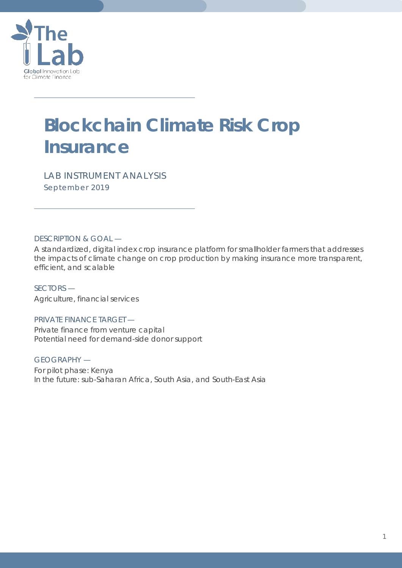

# **Blockchain Climate Risk Crop Insurance**

*LAB INSTRUMENT ANALYSIS September 2019*

DESCRIPTION & GOAL —

A standardized, digital index crop insurance platform for smallholder farmers that addresses the impacts of climate change on crop production by making insurance more transparent, efficient, and scalable

SECTORS — Agriculture, financial services

PRIVATE FINANCE TARGET — Private finance from venture capital Potential need for demand-side donor support

GEOGRAPHY — For pilot phase: Kenya In the future: sub-Saharan Africa, South Asia, and South-East Asia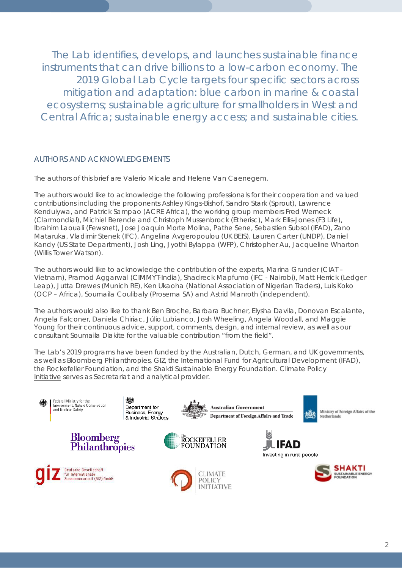The Lab identifies, develops, and launches sustainable finance instruments that can drive billions to a low-carbon economy. The 2019 Global Lab Cycle targets four specific sectors across mitigation and adaptation: blue carbon in marine & coastal ecosystems; sustainable agriculture for smallholders in West and Central Africa; sustainable energy access; and sustainable cities.

## AUTHORS AND ACKNOWLEDGEMENTS

The authors of this brief are Valerio Micale and Helene Van Caenegem.

The authors would like to acknowledge the following professionals for their cooperation and valued contributions including the proponents Ashley Kings-Bishof, Sandro Stark (Sprout), Lawrence Kenduiywa, and Patrick Sampao (ACRE Africa), the working group members Fred Werneck (Clarmondial), Michiel Berende and Christoph Mussenbrock (Etherisc), Mark Ellis-Jones (F3 Life), Ibrahim Laouali (Fewsnet), Jose Joaquin Morte Molina, Pathe Sene, Sebastien Subsol (IFAD), Zano Mataruka, Vladimir Stenek (IFC), Angelina Avgeropoulou (UK BEIS), Lauren Carter (UNDP), Daniel Kandy (US State Department), Josh Ling, Jyothi Bylappa (WFP), Christopher Au, Jacqueline Wharton (Willis Tower Watson).

The authors would like to acknowledge the contribution of the experts, Marina Grunder (CIAT – Vietnam), Pramod Aggarwal (CIMMYT-India), Shadreck Mapfumo (IFC - Nairobi), Matt Herrick (Ledger Leap), Jutta Drewes (Munich RE), Ken Ukaoha (National Association of Nigerian Traders), Luis Koko (OCP – Africa), Soumaila Coulibaly (Prosema SA) and Astrid Manroth (independent).

The authors would also like to thank Ben Broche, Barbara Buchner, Elysha Davila, Donovan Escalante, Angela Falconer, Daniela Chiriac, Júlio Lubianco, Josh Wheeling, Angela Woodall, and Maggie Young for their continuous advice, support, comments, design, and internal review, as well as our consultant Soumaila Diakite for the valuable contribution "from the field".

The Lab's 2019 programs have been funded by the Australian, Dutch, German, and UK governments, as well as Bloomberg Philanthropies, GIZ, the International Fund for Agricultural Development (IFAD), the Rockefeller Foundation, and the Shakti Sustainable Energy Foundation. [Climate Policy](https://climatepolicyinitiative.org/)  [Initiative](https://climatepolicyinitiative.org/) serves as Secretariat and analytical provider.

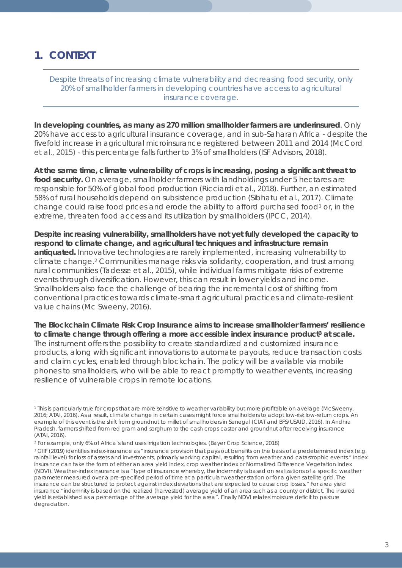## **1. CONTEXT**

 $\overline{a}$ 

*Despite threats of increasing climate vulnerability and decreasing food security, only*  20% of smallholder farmers in developing countries have access to agricultural *insurance coverage.*

**In developing countries, as many as 270 million smallholder farmers are underinsured**. Only 20% have access to agricultural insurance coverage, and in sub-Saharan Africa - despite the fivefold increase in agricultural microinsurance registered between 2011 and 2014 (McCord et al., 2015) - this percentage falls further to 3% of smallholders (ISF Advisors, 2018).

**At the same time, climate vulnerability of crops is increasing, posing a significant threat to**  food security. On average, smallholder farmers with landholdings under 5 hectares are responsible for 50% of global food production (Ricciardi et al., 2018). Further, an estimated 58% of rural households depend on subsistence production (Sibhatu et al., 2017). Climate change could raise food prices and erode the ability to afford purchased food<sup>[1](#page-2-0)</sup> or, in the extreme, threaten food access and its utilization by smallholders (IPCC, 2014).

**Despite increasing vulnerability, smallholders have not yet fully developed the capacity to respond to climate change, and agricultural techniques and infrastructure remain antiquated.** Innovative technologies are rarely implemented, increasing vulnerability to climate change.[2](#page-2-1) Communities manage risks via solidarity, cooperation, and trust among rural communities (Tadesse et al., 2015), while individual farms mitigate risks of extreme events through diversification. However, this can result in lower yields and income. Smallholders also face the challenge of bearing the incremental cost of shifting from conventional practices towards climate-smart agricultural practices and climate-resilient value chains (Mc Sweeny, 2016).

**The Blockchain Climate Risk Crop Insurance aims to increase smallholder farmers' resilience to climate change through offering a more accessible index insurance product[3](#page-2-2) at scale.** The instrument offers the possibility to create standardized and customized insurance products, along with significant innovations to automate payouts, reduce transaction costs and claim cycles, enabled through blockchain. The policy will be available via mobile phones to smallholders, who will be able to react promptly to weather events, increasing resilience of vulnerable crops in remote locations.

<span id="page-2-0"></span><sup>1</sup> This is particularly true for crops that are more sensitive to weather variability but more profitable on average (McSweeny, 2016; ATAI, 2016). As a result, climate change in certain cases might force smallholders to adopt low-risk low-return crops. An example of this event is the shift from groundnut to millet of smallholders in Senegal (CIAT and BFS/USAID, 2016). In Andhra Pradesh, farmers shifted from red gram and sorghum to the cash crops castor and groundnut after receiving insurance (ATAI, 2016).

<span id="page-2-1"></span><sup>2</sup> For example, only 6% of Africa's land uses irrigation technologies. (Bayer Crop Science, 2018)

<span id="page-2-2"></span><sup>&</sup>lt;sup>3</sup> GIIF (2019) identifies index-insurance as "insurance provision that pays out benefits on the basis of a predetermined index (e.g. rainfall level) for loss of assets and investments, primarily working capital, resulting from weather and catastrophic events." Index insurance can take the form of either an area yield index, crop weather index or Normalized Difference Vegetation Index (NDVI). Weather-index insurance is a "type of insurance whereby, the indemnity is based on realizations of a specific weather parameter measured over a pre-specified period of time at a particular weather station or for a given satellite grid. The insurance can be structured to protect against index deviations that are expected to cause crop losses." For area yield insurance "indemnity is based on the realized (harvested) average yield of an area such as a county or district. The insured yield is established as a percentage of the average yield for the area". Finally NDVI relates moisture deficit to pasture degradation.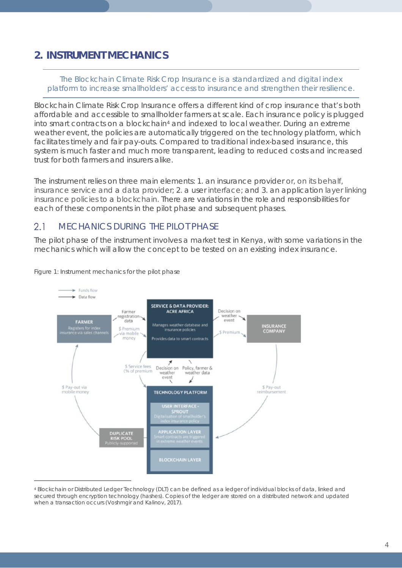## **2. INSTRUMENT MECHANICS**

*The Blockchain Climate Risk Crop Insurance is a standardized and digital index platform to increase smallholders' access to insurance and strengthen their resilience.*

Blockchain Climate Risk Crop Insurance offers a different kind of crop insurance that's both affordable and accessible to smallholder farmers at scale. Each insurance policy is plugged into smart contracts on a blockchain[4](#page-3-0) and indexed to local weather. During an extreme weather event, the policies are automatically triggered on the technology platform, which facilitates timely and fair pay-outs. Compared to traditional index-based insurance, this system is much faster and much more transparent, leading to reduced costs and increased trust for both farmers and insurers alike.

The instrument relies on three main elements: 1. an insurance provider or, on its behalf, insurance service and a data provider; 2. a user interface; and 3. an application layer linking insurance policies to a blockchain. There are variations in the role and responsibilities for each of these components in the pilot phase and subsequent phases.

#### $2.1$ MECHANICS DURING THE PILOT PHASE

The pilot phase of the instrument involves a market test in Kenya, with some variations in the mechanics which will allow the concept to be tested on an existing index insurance.



*Figure 1: Instrument mechanics for the pilot phase*

<span id="page-3-0"></span><sup>4</sup> Blockchain or Distributed Ledger Technology (DLT) can be defined as a ledger of individual blocks of data, linked and secured through encryption technology (hashes). Copies of the ledger are stored on a distributed network and updated when a transaction occurs (Voshmgir and Kalinov, 2017).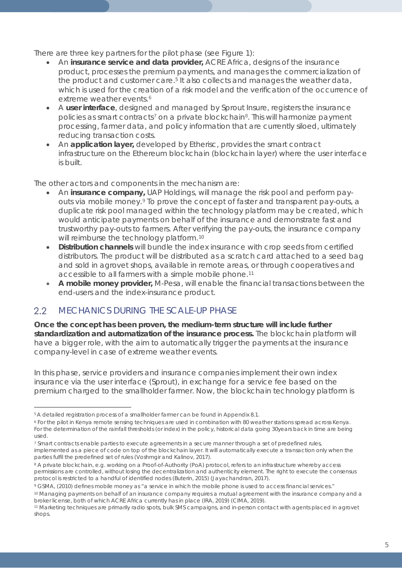There are three key partners for the pilot phase (see Figure 1):

- An **insurance service and data provider,** ACRE Africa, designs of the insurance product, processes the premium payments, and manages the commercialization of the product and customer care.<sup>5</sup> It also collects and manages the weather data, which is used for the creation of a risk model and the verification of the occurrence of extreme weather events.<sup>[6](#page-4-1)</sup>
- A **user interface**, designed and managed by Sprout Insure, registers the insurance policies as smart contracts<sup>[7](#page-4-2)</sup> on a private blockchain<sup>8</sup>. This will harmonize payment processing, farmer data, and policy information that are currently siloed, ultimately reducing transaction costs.
- An **application layer,** developed by Etherisc, provides the smart contract infrastructure on the Ethereum blockchain (blockchain layer) where the user interface is built.

The other actors and components in the mechanism are:

- An **insurance company,** UAP Holdings, will manage the risk pool and perform pay-outs via mobile money.<sup>[9](#page-4-4)</sup> To prove the concept of faster and transparent pay-outs, a duplicate risk pool managed within the technology platform may be created, which would anticipate payments on behalf of the insurance and demonstrate fast and trustworthy pay-outs to farmers. After verifying the pay-outs, the insurance company will reimburse the technology platform.<sup>[10](#page-4-5)</sup>
- **Distribution channels** will bundle the index insurance with crop seeds from certified distributors. The product will be distributed as a scratch card attached to a seed bag and sold in agrovet shops, available in remote areas, or through cooperatives and accessible to all farmers with a simple mobile phone.[11](#page-4-6)
- **A mobile money provider,** M-Pesa, will enable the financial transactions between the end-users and the index-insurance product.

### $2.2^{\circ}$ MECHANICS DURING THE SCALE-UP PHASE

**Once the concept has been proven, the medium-term structure will include further standardization and automatization of the insurance process.** The blockchain platform will have a bigger role, with the aim to automatically trigger the payments at the insurance company-level in case of extreme weather events.

In this phase, service providers and insurance companies implement their own index insurance via the user interface (Sprout), in exchange for a service fee based on the premium charged to the smallholder farmer. Now, the blockchain technology platform is

 $\overline{a}$ <sup>5</sup> A detailed registration process of a smallholder farmer can be found in Appendix 8.1.

<span id="page-4-1"></span><span id="page-4-0"></span><sup>6</sup> For the pilot in Kenya remote sensing techniques are used in combination with 80 weather stations spread across Kenya. For the determination of the rainfall thresholds (or index) in the policy, historical data going 30years back in time are being used.

<span id="page-4-2"></span><sup>7</sup> Smart contracts enable parties to execute agreements in a secure manner through a set of predefined rules, implemented as a piece of code on top of the blockchain layer. It will automatically execute a transaction only when the parties fulfil the predefined set of rules (Voshmgir and Kalinov, 2017).

<span id="page-4-3"></span><sup>&</sup>lt;sup>8</sup> A private blockchain, e.g. working on a Proof-of-Authority (PoA) protocol, refers to an infrastructure whereby access permissions are controlled, without losing the decentralization and authenticity element. The right to execute the consensus protocol is restricted to a handful of identified nodes (Buterin, 2015) (Jayachandran, 2017).

<span id="page-4-4"></span><sup>9</sup> GSMA, (2010) defines mobile money as "a service in which the mobile phone is used to access financial services."

<span id="page-4-5"></span><sup>10</sup> Managing payments on behalf of an insurance company requires a mutual agreement with the insurance company and a broker license, both of which ACRE Africa currently has in place (IRA, 2019) (CIMA, 2019).

<span id="page-4-6"></span><sup>11</sup> Marketing techniques are primarily radio spots, bulk SMS campaigns, and in-person contact with agents placed in agrovet shops.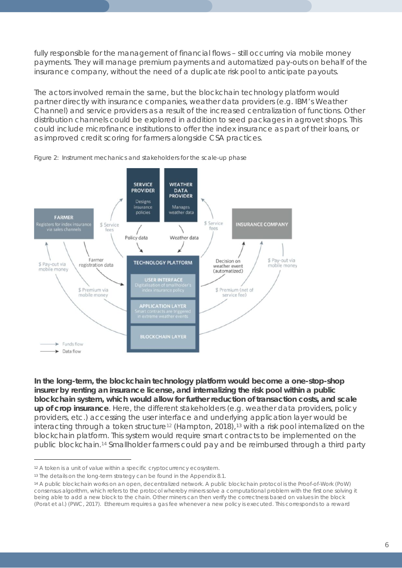fully responsible for the management of financial flows - still occurring via mobile money payments. They will manage premium payments and automatized pay-outs on behalf of the insurance company, without the need of a duplicate risk pool to anticipate payouts.

The actors involved remain the same, but the blockchain technology platform would partner directly with insurance companies, weather data providers (e.g. IBM's Weather Channel) and service providers as a result of the increased centralization of functions. Other distribution channels could be explored in addition to seed packages in agrovet shops. This could include microfinance institutions to offer the index insurance as part of their loans, or as improved credit scoring for farmers alongside CSA practices.



*Figure 2: Instrument mechanics and stakeholders for the scale-up phase*

**In the long-term, the blockchain technology platform would become a one-stop-shop insurer by renting an insurance license, and internalizing the risk pool within a public blockchain system, which would allow for further reduction of transaction costs, and scale up of crop insurance**. Here, the different stakeholders (e.g. weather data providers, policy providers, etc.) accessing the user interface and underlying application layer would be interacting through a token structure<sup>12</sup> (Hampton, 2018),<sup>[13](#page-5-1)</sup> with a risk pool internalized on the blockchain platform. This system would require smart contracts to be implemented on the public blockchain.[14](#page-5-2) Smallholder farmers could pay and be reimbursed through a third party

<span id="page-5-0"></span><sup>12</sup> A token is a unit of value within a specific cryptocurrency ecosystem.

<span id="page-5-1"></span><sup>&</sup>lt;sup>13</sup> The details on the long-term strategy can be found in the Appendix 8.1.

<span id="page-5-2"></span><sup>14</sup> A public blockchain works on an open, decentralized network. A public blockchain protocol is the Proof-of-Work (PoW) consensus algorithm, which refers to the protocol whereby miners solve a computational problem with the first one solving it being able to add a new block to the chain. Other miners can then verify the correctness based on values in the block (Porat et al.) (PWC, 2017). Ethereum requires a gas fee whenever a new policy is executed. This corresponds to a reward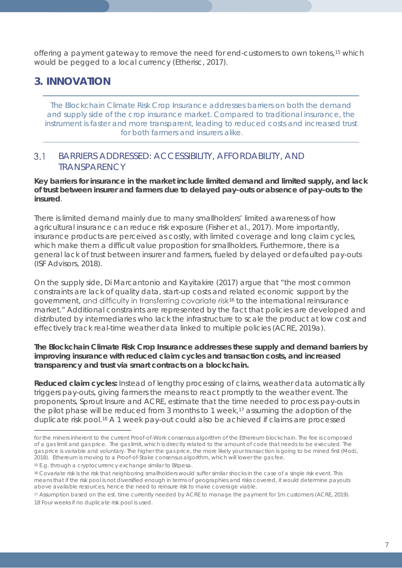offering a payment gateway to remove the need for end-customers to own tokens,<sup>[15](#page-6-0)</sup> which would be pegged to a local currency (Etherisc, 2017).

## **3. INNOVATION**

*The Blockchain Climate Risk Crop Insurance addresses barriers on both the demand and supply side of the crop insurance market. Compared to traditional insurance, the instrument is faster and more transparent, leading to reduced costs and increased trust for both farmers and insurers alike.*

### $3.1$ BARRIERS ADDRESSED: ACCESSIBILITY, AFFORDABILITY, AND **TRANSPARENCY**

**Key barriers for insurance in the market include limited demand and limited supply, and lack of trust between insurer and farmers due to delayed pay-outs or absence of pay-outs to the insured**.

There is limited demand mainly due to many smallholders' limited awareness of how agricultural insurance can reduce risk exposure (Fisher et al., 2017). More importantly, insurance products are perceived as costly, with limited coverage and long claim cycles, which make them a difficult value proposition for smallholders. Furthermore, there is a general lack of trust between insurer and farmers, fueled by delayed or defaulted pay-outs (ISF Advisors, 2018).

On the supply side, Di Marcantonio and Kayitakire (2017) argue that "the most common constraints are lack of quality data, start-up costs and related economic support by the government, and difficulty in transferring covariate risk[16](#page-6-1) to the international reinsurance market." Additional constraints are represented by the fact that policies are developed and distributed by intermediaries who lack the infrastructure to scale the product at low cost and effectively track real-time weather data linked to multiple policies (ACRE, 2019a).

### **The Blockchain Climate Risk Crop Insurance addresses these supply and demand barriers by improving insurance with reduced claim cycles and transaction costs, and increased transparency and trust via smart contracts on a blockchain.**

**Reduced claim cycles:** Instead of lengthy processing of claims, weather data automatically triggers pay-outs, giving farmers the means to react promptly to the weather event. The proponents, Sprout Insure and ACRE, estimate that the time needed to process pay-outs in the pilot phase will be reduced from 3 months to 1 week,<sup>[17](#page-6-2)</sup> assuming the adoption of the duplicate risk pool.[18](#page-6-3) A 1 week pay-out could also be achieved if claims are processed

for the miners inherent to the current Proof-of-Work consensus algorithm of the Ethereum blockchain. The fee is composed of a gas limit and gas price. The gas limit, which is directly related to the amount of code that needs to be executed. The gas price is variable and voluntary. The higher the gas price, the more likely your transaction is going to be mined first (Modi, 2018). Ethereum is moving to a Proof-of-Stake consensus algorithm, which will lower the gas fee.

<span id="page-6-0"></span><sup>15</sup> E.g. through a cryptocurrency exchange similar to Bitpesa.

<span id="page-6-1"></span><sup>16</sup> Covariate risk is the risk that neighboring smallholders would suffer similar shocks in the case of a single risk event. This means that if the risk pool is not diversified enough in terms of geographies and risks covered, it would determine payouts above available resources, hence the need to reinsure risk to make coverage viable.

<span id="page-6-3"></span><span id="page-6-2"></span><sup>17</sup> Assumption based on the est. time currently needed by ACRE to manage the payment for 1m customers (ACRE, 2019). 18 Four weeks if no duplicate risk pool is used.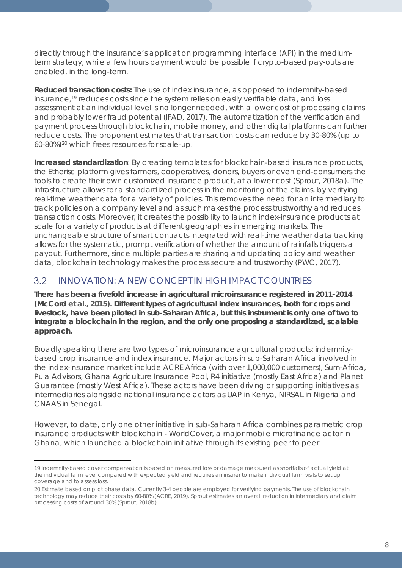directly through the insurance's application programming interface (API) in the mediumterm strategy, while a few hours payment would be possible if crypto-based pay-outs are enabled, in the long-term.

**Reduced transaction costs:** The use of index insurance, as opposed to indemnity-based insurance,<sup>[19](#page-7-0)</sup> reduces costs since the system relies on easily verifiable data, and loss assessment at an individual level is no longer needed, with a lower cost of processing claims and probably lower fraud potential (IFAD, 2017). The automatization of the verification and payment process through blockchain, mobile money, and other digital platforms can further reduce costs. The proponent estimates that transaction costs can reduce by 30-80% (up to 60-80%)[20](#page-7-1) which frees resources for scale-up.

**Increased standardization**: By creating templates for blockchain-based insurance products, the Etherisc platform gives farmers, cooperatives, donors, buyers or even end-consumers the tools to create their own customized insurance product, at a lower cost (Sprout, 2018a). The infrastructure allows for a standardized process in the monitoring of the claims, by verifying real-time weather data for a variety of policies. This removes the need for an intermediary to track policies on a company level and as such makes the process trustworthy and reduces transaction costs. Moreover, it creates the possibility to launch index-insurance products at scale for a variety of products at different geographies in emerging markets. The unchangeable structure of smart contracts integrated with real-time weather data tracking allows for the systematic, prompt verification of whether the amount of rainfalls triggers a payout. Furthermore, since multiple parties are sharing and updating policy and weather data, blockchain technology makes the process secure and trustworthy (PWC, 2017).

### $3.2$ INNOVATION: A NEW CONCEPT IN HIGH IMPACT COUNTRIES

**There has been a fivefold increase in agricultural microinsurance registered in 2011-2014 (McCord et al., 2015). Different types of agricultural index insurances, both for crops and livestock, have been piloted in sub-Saharan Africa, but this instrument is only one of two to integrate a blockchain in the region, and the only one proposing a standardized, scalable approach.**

Broadly speaking there are two types of microinsurance agricultural products: indemnitybased crop insurance and index insurance. Major actors in sub-Saharan Africa involved in the index-insurance market include ACRE Africa (with over 1,000,000 customers), Sum-Africa, Pula Advisors, Ghana Agriculture Insurance Pool, R4 initiative (mostly East Africa) and Planet Guarantee (mostly West Africa). These actors have been driving or supporting initiatives as intermediaries alongside national insurance actors as UAP in Kenya, NIRSAL in Nigeria and CNAAS in Senegal.

However, to date, only one other initiative in sub-Saharan Africa combines parametric crop insurance products with blockchain - WorldCover, a major mobile microfinance actor in Ghana, which launched a blockchain initiative through its existing peer to peer

<span id="page-7-0"></span><sup>19</sup> Indemnity-based cover compensation is based on measured loss or damage measured as shortfalls of actual yield at the individual farm level compared with expected yield and requires an insurer to make individual farm visits to set up coverage and to assess loss.

<span id="page-7-1"></span><sup>20</sup> Estimate based on pilot phase data. Currently 3-4 people are employed for verifying payments. The use of blockchain technology may reduce their costs by 60-80% (ACRE, 2019). Sprout estimates an overall reduction in intermediary and claim processing costs of around 30% (Sprout, 2018b).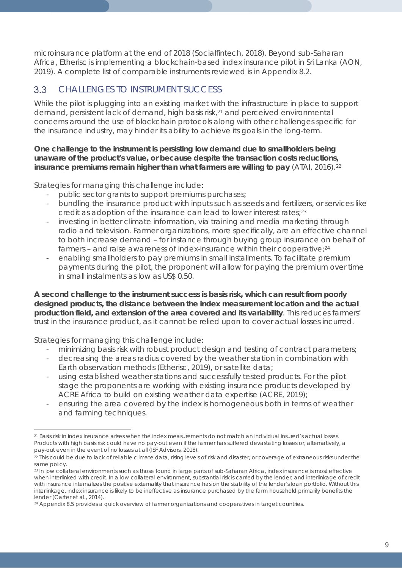microinsurance platform at the end of 2018 (Socialfintech, 2018). Beyond sub-Saharan Africa, Etherisc is implementing a blockchain-based index insurance pilot in Sri Lanka (AON, 2019). A complete list of comparable instruments reviewed is in Appendix 8.2.

### $3.3$ CHALLENGES TO INSTRUMENT SUCCESS

While the pilot is plugging into an existing market with the infrastructure in place to support demand, persistent lack of demand, high basis risk, <sup>[21](#page-8-0)</sup> and perceived environmental concerns around the use of blockchain protocols along with other challenges specific for the insurance industry, may hinder its ability to achieve its goals in the long-term.

### **One challenge to the instrument is persisting low demand due to smallholders being unaware of the product's value, or because despite the transaction costs reductions, insurance premiums remain higher than what farmers are willing to pay** (ATAI, 2016).<sup>[22](#page-8-1)</sup>

Strategies for managing this challenge include:

- public sector grants to support premiums purchases;
- bundling the insurance product with inputs such as seeds and fertilizers, or services like credit as adoption of the insurance can lead to lower interest rates;<sup>[23](#page-8-2)</sup>
- investing in better climate information, via training and media marketing through radio and television. Farmer organizations, more specifically, are an effective channel to both increase demand – for instance through buying group insurance on behalf of farmers - and raise awareness of index-insurance within their cooperative;<sup>[24](#page-8-3)</sup>
- enabling smallholders to pay premiums in small installments. To facilitate premium payments during the pilot, the proponent will allow for paying the premium over time in small instalments as low as US\$ 0.50.

**A second challenge to the instrument success is basis risk, which can result from poorly designed products, the distance between the index measurement location and the actual production field, and extension of the area covered and its variability**. This reduces farmers' trust in the insurance product, as it cannot be relied upon to cover actual losses incurred.

Strategies for managing this challenge include:

- minimizing basis risk with robust product design and testing of contract parameters;
- decreasing the areas radius covered by the weather station in combination with Earth observation methods (Etherisc, 2019), or satellite data;
- using established weather stations and successfully tested products. For the pilot stage the proponents are working with existing insurance products developed by ACRE Africa to build on existing weather data expertise (ACRE, 2019);
- ensuring the area covered by the index is homogeneous both in terms of weather and farming techniques.

<span id="page-8-0"></span> $\overline{a}$ <sup>21</sup> Basis risk in index insurance arises when the index measurements do not match an individual insured's actual losses. Products with high basis risk could have no pay-out even if the farmer has suffered devastating losses or, alternatively, a pay-out even in the event of no losses at all (ISF Advisors, 2018).

<span id="page-8-1"></span><sup>&</sup>lt;sup>22</sup> This could be due to lack of reliable climate data, rising levels of risk and disaster, or coverage of extraneous risks under the same policy.

<span id="page-8-2"></span><sup>23</sup> In low collateral environments such as those found in large parts of sub-Saharan Africa, index insurance is most effective when interlinked with credit. In a low collateral environment, substantial risk is carried by the lender, and interlinkage of credit with insurance internalizes the positive externality that insurance has on the stability of the lender's loan portfolio. Without this interlinkage, index insurance is likely to be ineffective as insurance purchased by the farm household primarily benefits the lender (Carter et al., 2014).

<span id="page-8-3"></span><sup>&</sup>lt;sup>24</sup> Appendix 8.5 provides a quick overview of farmer organizations and cooperatives in target countries.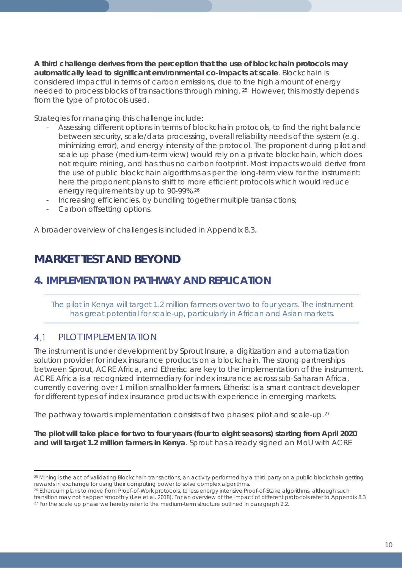**A third challenge derives from the perception that the use of blockchain protocols may automatically lead to significant environmental co-impacts at scale**. Blockchain is considered impactful in terms of carbon emissions, due to the high amount of energy needed to process blocks of transactions through mining. [25](#page-9-0) However, this mostly depends from the type of protocols used.

Strategies for managing this challenge include:

- Assessing different options in terms of blockchain protocols, to find the right balance between security, scale/data processing, overall reliability needs of the system (e.g. minimizing error), and energy intensity of the protocol. The proponent during pilot and scale up phase (medium-term view) would rely on a private blockchain, which does not require mining, and has thus no carbon footprint. Most impacts would derive from the use of public blockchain algorithms as per the long-term view for the instrument: here the proponent plans to shift to more efficient protocols which would reduce energy requirements by up to 90-99%.[26](#page-9-1)
- Increasing efficiencies, by bundling together multiple transactions;
- Carbon offsetting options.

A broader overview of challenges is included in Appendix 8.3.

## *MARKET TEST AND BEYOND*

## **4. IMPLEMENTATION PATHWAY AND REPLICATION**

*The pilot in Kenya will target 1.2 million farmers over two to four years. The instrument has great potential for scale-up, particularly in African and Asian markets.*

### $41$ PILOT IMPLEMENTATION

The instrument is under development by Sprout Insure, a digitization and automatization solution provider for index insurance products on a blockchain. The strong partnerships between Sprout, ACRE Africa, and Etherisc are key to the implementation of the instrument. ACRE Africa is a recognized intermediary for index insurance across sub-Saharan Africa, currently covering over 1 million smallholder farmers. Etherisc is a smart contract developer for different types of index insurance products with experience in emerging markets.

The pathway towards implementation consists of two phases: pilot and scale-up.[27](#page-9-2)

**The pilot will take place for two to four years (four to eight seasons) starting from April 2020 and will target 1.2 million farmers in Kenya**. Sprout has already signed an MoU with ACRE

<span id="page-9-0"></span> $\overline{a}$ <sup>25</sup> Mining is the act of validating Blockchain transactions, an activity performed by a third party on a public blockchain getting rewards in exchange for using their computing power to solve complex algorithms.

<span id="page-9-2"></span><span id="page-9-1"></span><sup>&</sup>lt;sup>26</sup> Ethereum plans to move from Proof-of-Work protocols, to less energy intensive Proof-of-Stake algorithms, although such transition may not happen smoothly (Lee et al. 2018). For an overview of the impact of different protocols refer to Appendix 8.3 <sup>27</sup> For the scale up phase we hereby refer to the medium-term structure outlined in paragraph 2.2.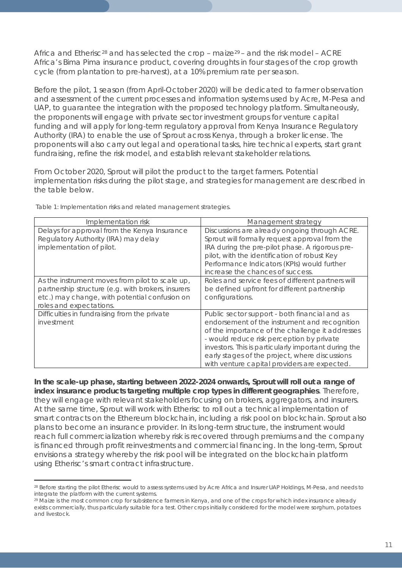Africa and Etherisc<sup>[28](#page-10-0)</sup> and has selected the crop – maize<sup>[29](#page-10-1)</sup> – and the risk model – ACRE Africa's Bima Pima insurance product, covering droughts in four stages of the crop growth cycle (from plantation to pre-harvest), at a 10% premium rate per season.

Before the pilot, 1 season (from April-October 2020) will be dedicated to farmer observation and assessment of the current processes and information systems used by Acre, M-Pesa and UAP, to guarantee the integration with the proposed technology platform. Simultaneously, the proponents will engage with private sector investment groups for venture capital funding and will apply for long-term regulatory approval from Kenya Insurance Regulatory Authority (IRA) to enable the use of Sprout across Kenya, through a broker license. The proponents will also carry out legal and operational tasks, hire technical experts, start grant fundraising, refine the risk model, and establish relevant stakeholder relations.

From October 2020, Sprout will pilot the product to the target farmers. Potential implementation risks during the pilot stage, and strategies for management are described in the table below.

| Implementation risk                                                                                                                                                               | <u>Management strategy</u>                                                                                                                                                                                                                                                                                                                               |
|-----------------------------------------------------------------------------------------------------------------------------------------------------------------------------------|----------------------------------------------------------------------------------------------------------------------------------------------------------------------------------------------------------------------------------------------------------------------------------------------------------------------------------------------------------|
| Delays for approval from the Kenya Insurance<br>Regulatory Authority (IRA) may delay<br>implementation of pilot.                                                                  | Discussions are already ongoing through ACRE.<br>Sprout will formally request approval from the<br>IRA during the pre-pilot phase. A rigorous pre-<br>pilot, with the identification of robust Key<br>Performance Indicators (KPIs) would further<br>increase the chances of success.                                                                    |
| As the instrument moves from pilot to scale up,<br>partnership structure (e.g. with brokers, insurers<br>etc.) may change, with potential confusion on<br>roles and expectations. | Roles and service fees of different partners will<br>be defined upfront for different partnership<br>configurations.                                                                                                                                                                                                                                     |
| Difficulties in fundraising from the private<br>investment                                                                                                                        | Public sector support - both financial and as<br>endorsement of the instrument and recognition<br>of the importance of the challenge it addresses<br>- would reduce risk perception by private<br>investors. This is particularly important during the<br>early stages of the project, where discussions<br>with venture capital providers are expected. |

*Table 1: Implementation risks and related management strategies.*

 $\overline{a}$ 

**In the scale-up phase, starting between 2022-2024 onwards, Sprout will roll out a range of index insurance products targeting multiple crop types in different geographies**. Therefore, they will engage with relevant stakeholders focusing on brokers, aggregators, and insurers. At the same time, Sprout will work with Etherisc to roll out a technical implementation of smart contracts on the Ethereum blockchain, including a risk pool on blockchain. Sprout also plans to become an insurance provider. In its long-term structure, the instrument would reach full commercialization whereby risk is recovered through premiums and the company is financed through profit reinvestments and commercial financing. In the long-term, Sprout envisions a strategy whereby the risk pool will be integrated on the blockchain platform using Etherisc's smart contract infrastructure.

<span id="page-10-0"></span><sup>28</sup> Before starting the pilot Etherisc would to assess systems used by Acre Africa and Insurer UAP Holdings, M-Pesa, and needs to integrate the platform with the current systems.

<span id="page-10-1"></span><sup>&</sup>lt;sup>29</sup> Maize is the most common crop for subsistence farmers in Kenya, and one of the crops for which index insurance already exists commercially, thus particularly suitable for a test. Other crops initially considered for the model were sorghum, potatoes and livestock.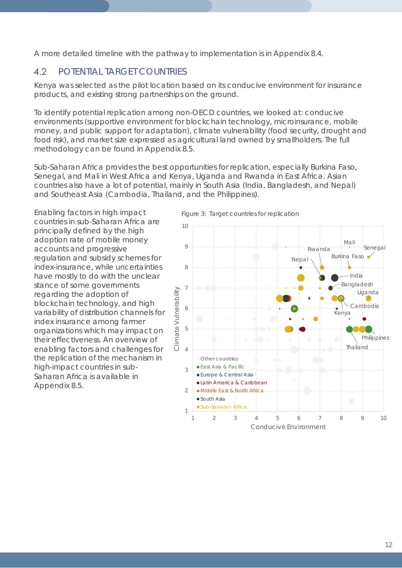A more detailed timeline with the pathway to implementation is in Appendix 8.4.

### $4.2$ POTENTIAL TARGET COUNTRIES

Kenya was selected as the pilot location based on its conducive environment for insurance products, and existing strong partnerships on the ground.

To identify potential replication among non-OECD countries, we looked at: conducive environments (supportive environment for blockchain technology, microinsurance, mobile money, and public support for adaptation), climate vulnerability (food security, drought and food risk), and market size expressed as agricultural land owned by smallholders. The full methodology can be found in Appendix 8.5.

Sub-Saharan Africa provides the best opportunities for replication, especially Burkina Faso, Senegal, and Mali in West Africa and Kenya, Uganda and Rwanda in East Africa. Asian countries also have a lot of potential, mainly in South Asia (India, Bangladesh, and Nepal) and Southeast Asia (Cambodia, Thailand, and the Philippines).

Enabling factors in high impact countries in sub-Saharan Africa are principally defined by the high adoption rate of mobile money accounts and progressive regulation and subsidy schemes for index-insurance, while uncertainties have mostly to do with the unclear stance of some governments regarding the adoption of blockchain technology, and high variability of distribution channels for index insurance among farmer organizations which may impact on their effectiveness. An overview of enabling factors and challenges for the replication of the mechanism in high-impact countries in sub-Saharan Africa is available in Appendix 8.5.

*Figure 3: Target countries for replication*

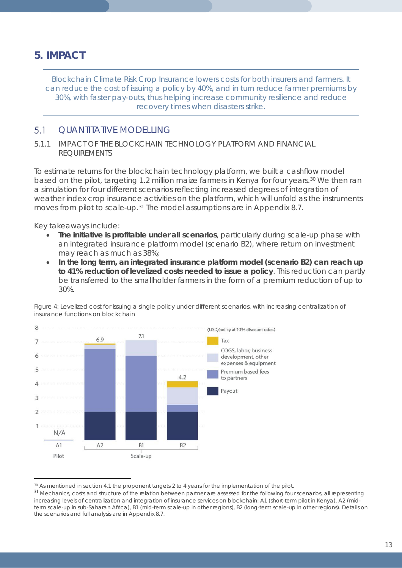## **5. IMPACT**

*Blockchain Climate Risk Crop Insurance lowers costs for both insurers and farmers. It can reduce the cost of issuing a policy by 40%, and in turn reduce farmer premiums by 30%, with faster pay-outs, thus helping increase community resilience and reduce recovery times when disasters strike.*

#### $5.1$ QUANTITATIVE MODELLING

### 5.1.1 IMPACT OF THE BLOCKCHAIN TECHNOLOGY PLATFORM AND FINANCIAL REQUIREMENTS

To estimate returns for the blockchain technology platform, we built a cashflow model based on the pilot, targeting 1.2 million maize farmers in Kenya for four years.<sup>[30](#page-12-0)</sup> We then ran a simulation for four different scenarios reflecting increased degrees of integration of weather index crop insurance activities on the platform, which will unfold as the instruments moves from pilot to scale-up.<sup>[31](#page-12-1)</sup> The model assumptions are in Appendix 8.7.

Key takeaways include:

 $\overline{a}$ 

- **The initiative is profitable under all scenarios**, particularly during scale-up phase with an integrated insurance platform model (scenario B2), where return on investment may reach as much as 38%;
- **In the long term, an integrated insurance platform model (scenario B2) can reach up to 41% reduction of levelized costs needed to issue a policy**. This reduction can partly be transferred to the smallholder farmers in the form of a premium reduction of up to 30%.





<span id="page-12-0"></span>30 As mentioned in section 4.1 the proponent targets 2 to 4 years for the implementation of the pilot.

<span id="page-12-1"></span><sup>&</sup>lt;sup>31</sup> Mechanics, costs and structure of the relation between partner are assessed for the following four scenarios, all representing increasing levels of centralization and integration of insurance services on blockchain: A1 (short-term pilot in Kenya), A2 (midterm scale-up in sub-Saharan Africa), B1 (mid-term scale-up in other regions), B2 (long-term scale-up in other regions). Details on the scenarios and full analysis are in Appendix 8.7.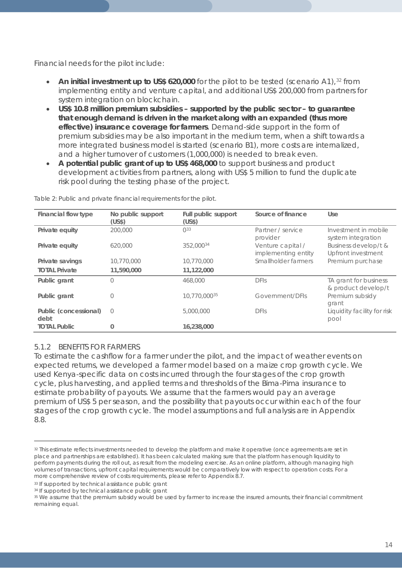Financial needs for the pilot include:

- **An initial investment up to US\$ 620,000** for the pilot to be tested (scenario A1),<sup>[32](#page-13-0)</sup> from implementing entity and venture capital, and additional US\$ 200,000 from partners for system integration on blockchain.
- **US\$ 10.8 million premium subsidies – supported by the public sector – to guarantee that enough demand is driven in the market along with an expanded (thus more effective) insurance coverage for farmers**. Demand-side support in the form of premium subsidies may be also important in the medium term, when a shift towards a more integrated business model is started (scenario B1), more costs are internalized, and a higher turnover of customers (1,000,000) is needed to break even.
- **A potential public grant of up to US\$ 468,000** to support business and product development activities from partners, along with US\$ 5 million to fund the duplicate risk pool during the testing phase of the project.

| Financial flow type           | No public support<br>(US\$) | Full public support<br>(US\$) | Source of finance                        | <b>Use</b>                                   |
|-------------------------------|-----------------------------|-------------------------------|------------------------------------------|----------------------------------------------|
| Private equity                | 200,000                     | $0^{33}$                      | Partner / service<br>provider            | Investment in mobile<br>system integration   |
| Private equity                | 620,000                     | 352,00034                     | Venture capital /<br>implementing entity | Business develop/t &<br>Upfront investment   |
| Private savings               | 10,770,000                  | 10,770,000                    | Smallholder farmers                      | Premium purchase                             |
| <b>TOTAL Private</b>          | 11,590,000                  | 11,122,000                    |                                          |                                              |
| Public grant                  | 0                           | 468,000                       | DFIs                                     | TA grant for business<br>& product develop/t |
| Public grant                  | Ω                           | 10.770.00035                  | Government/DFIs                          | Premium subsidy<br>grant                     |
| Public (concessional)<br>debt | $\bigcirc$                  | 5,000,000                     | <b>DFIS</b>                              | Liquidity facility for risk<br>pool          |
| <b>TOTAL Public</b>           | 0                           | 16,238,000                    |                                          |                                              |

*Table 2: Public and private financial requirements for the pilot.*

### 5.1.2 BENEFITS FOR FARMERS

 $\overline{a}$ 

To estimate the cashflow for a farmer under the pilot, and the impact of weather events on expected returns, we developed a farmer model based on a maize crop growth cycle. We used Kenya-specific data on costs incurred through the four stages of the crop growth cycle, plus harvesting, and applied terms and thresholds of the Bima-Pima insurance to estimate probability of payouts. We assume that the farmers would pay an average premium of US\$ 5 per season, and the possibility that payouts occur within each of the four stages of the crop growth cycle. The model assumptions and full analysis are in Appendix 8.8.

<span id="page-13-0"></span><sup>32</sup> This estimate reflects investments needed to develop the platform and make it operative (once agreements are set in place and partnerships are established). It has been calculated making sure that the platform has enough liquidity to perform payments during the roll out, as result from the modeling exercise. As an online platform, although managing high volumes of transactions, upfront capital requirements would be comparatively low with respect to operation costs. For a more comprehensive review of costs requirements, please refer to Appendix 8.7.

<span id="page-13-1"></span><sup>33</sup> If supported by technical assistance public grant

<span id="page-13-2"></span><sup>&</sup>lt;sup>34</sup> If supported by technical assistance public grant

<span id="page-13-3"></span><sup>&</sup>lt;sup>35</sup> We assume that the premium subsidy would be used by farmer to increase the insured amounts, their financial commitment remaining equal.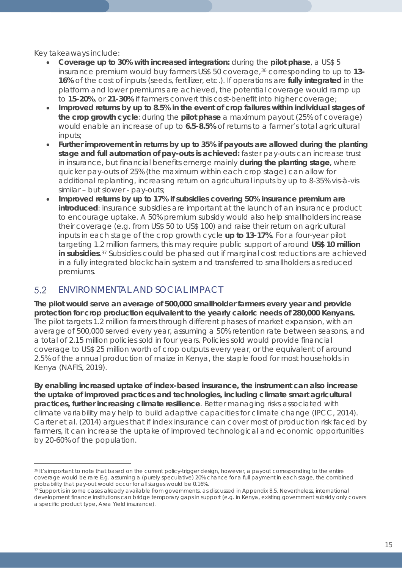Key takeaways include:

- **Coverage up to 30% with increased integration:** during the **pilot phase**, a US\$ 5 insurance premium would buy farmers US\$ 50 coverage,[36](#page-14-0) corresponding to up to **13- 16%** of the cost of inputs (seeds, fertilizer, etc.). If operations are **fully integrated** in the platform and lower premiums are achieved, the potential coverage would ramp up to **15-20%**, or **21-30%** if farmers convert this cost-benefit into higher coverage;
- **Improved returns by up to 8.5% in the event of crop failures within individual stages of the crop growth cycle**: during the **pilot phase** a maximum payout (25% of coverage) would enable an increase of up to **6.5-8.5%** of returns to a farmer's total agricultural inputs;
- **Further improvement in returns by up to 35% if payouts are allowed during the planting stage and full automation of pay-outs is achieved:** faster pay-outs can increase trust in insurance, but financial benefits emerge mainly **during the planting stage**, where quicker pay-outs of 25% (the maximum within each crop stage) can allow for additional replanting, increasing return on agricultural inputs by up to 8-35% vis-à-vis similar – but slower - pay-outs;
- **Improved returns by up to 17% if subsidies covering 50% insurance premium are introduced**: insurance subsidies are important at the launch of an insurance product to encourage uptake. A 50% premium subsidy would also help smallholders increase their coverage (e.g. from US\$ 50 to US\$ 100) and raise their return on agricultural inputs in each stage of the crop growth cycle **up to 13-17%**. For a four-year pilot targeting 1.2 million farmers, this may require public support of around **US\$ 10 million in subsidies**.[37](#page-14-1) Subsidies could be phased out if marginal cost reductions are achieved in a fully integrated blockchain system and transferred to smallholders as reduced premiums.

#### 5.2 ENVIRONMENTAL AND SOCIAL IMPACT

**The pilot would serve an average of 500,000 smallholder farmers every year and provide protection for crop production equivalent to the yearly caloric needs of 280,000 Kenyans.** The pilot targets 1.2 million farmers through different phases of market expansion, with an average of 500,000 served every year, assuming a 50% retention rate between seasons, and a total of 2.15 million policies sold in four years. Policies sold would provide financial coverage to US\$ 25 million worth of crop outputs every year, or the equivalent of around 2.5% of the annual production of maize in Kenya, the staple food for most households in Kenya (NAFIS, 2019).

**By enabling increased uptake of index-based insurance, the instrument can also increase the uptake of improved practices and technologies, including climate smart agricultural practices, further increasing climate resilience**. Better managing risks associated with climate variability may help to build adaptive capacities for climate change (IPCC, 2014). Carter et al. (2014) argues that if index insurance can cover most of production risk faced by farmers, it can increase the uptake of improved technological and economic opportunities by 20-60% of the population.

<span id="page-14-0"></span> $\overline{a}$ <sup>36</sup> It's important to note that based on the current policy-trigger design, however, a payout corresponding to the entire coverage would be rare E.g. assuming a (purely speculative) 20% chance for a full payment in each stage, the combined probability that pay-out would occur for all stages would be 0.16%.

<span id="page-14-1"></span><sup>37</sup> Support is in some cases already available from governments, as discussed in Appendix 8.5. Nevertheless, international development finance institutions can bridge temporary gaps in support (e.g. in Kenya, existing government subsidy only covers a specific product type, Area Yield insurance).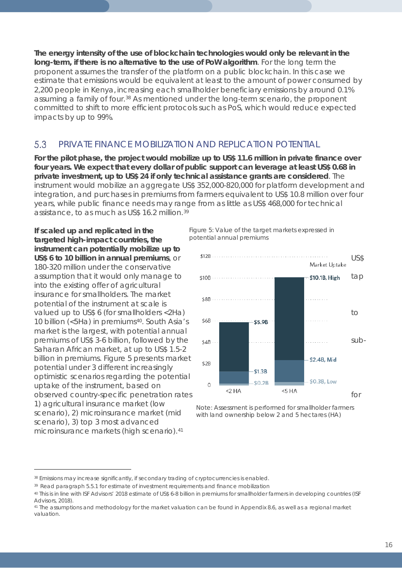**The energy intensity of the use of blockchain technologies would only be relevant in the long-term, if there is no alternative to the use of PoW algorithm**. For the long term the proponent assumes the transfer of the platform on a public blockchain. In this case we estimate that emissions would be equivalent at least to the amount of power consumed by 2,200 people in Kenya, increasing each smallholder beneficiary emissions by around 0.1% assuming a family of four.<sup>[38](#page-15-0)</sup> As mentioned under the long-term scenario, the proponent committed to shift to more efficient protocols such as PoS, which would reduce expected impacts by up to 99%.

#### 5.3 PRIVATE FINANCE MOBILIZATION AND REPLICATION POTENTIAL

**For the pilot phase, the project would mobilize up to US\$ 11.6 million in private finance over four years. We expect that every dollar of public support can leverage at least US\$ 0.68 in private investment, up to US\$ 24 if only technical assistance grants are considered**. The instrument would mobilize an aggregate US\$ 352,000-820,000 for platform development and integration, and purchases in premiums from farmers equivalent to US\$ 10.8 million over four years, while public finance needs may range from as little as US\$ 468,000 for technical assistance, to as much as US\$ 16.2 million.[39](#page-15-1)

**If scaled up and replicated in the targeted high-impact countries, the instrument can potentially mobilize up to**  180-320 million under the conservative into the existing offer of agricultural insurance for smallholders. The market potential of the instrument at scale is 10 billion (<5Ha) in premiums<sup>40</sup>. South Asia's market is the largest, with potential annual Saharan African market, at up to US\$ 1.5-2 billion in premiums. Figure 5 presents market potential under 3 different increasingly optimistic scenarios regarding the potential uptake of the instrument, based on 1) agricultural insurance market (low scenario), 2) microinsurance market (mid scenario), 3) top 3 most advanced microinsurance markets (high scenario).[41](#page-15-3)

 $\overline{a}$ 

*Figure 5: Value of the target markets expressed in potential annual premiums*



*Note: Assessment is performed for smallholder farmers with land ownership below 2 and 5 hectares (HA)*

<span id="page-15-0"></span><sup>38</sup> Emissions may increase significantly, if secondary trading of cryptocurrencies is enabled.

<span id="page-15-1"></span><sup>39</sup> Read paragraph 5.5.1 for estimate of investment requirements and finance mobilization

<span id="page-15-2"></span><sup>40</sup> This is in line with ISF Advisors' 2018 estimate of US\$ 6-8 billion in premiums for smallholder farmers in developing countries (ISF Advisors, 2018).

<span id="page-15-3"></span><sup>41</sup> The assumptions and methodology for the market valuation can be found in Appendix 8.6, as well as a regional market valuation.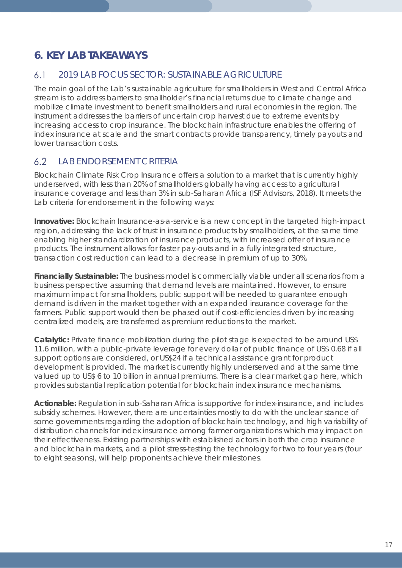## **6. KEY LAB TAKEAWAYS**

#### $6.1$ 2019 LAB FOCUS SECTOR: SUSTAINABLE AGRICULTURE

The main goal of the Lab's sustainable agriculture for smallholders in West and Central Africa stream is to address barriers to smallholder's financial returns due to climate change and mobilize climate investment to benefit smallholders and rural economies in the region. The instrument addresses the barriers of uncertain crop harvest due to extreme events by increasing access to crop insurance. The blockchain infrastructure enables the offering of index insurance at scale and the smart contracts provide transparency, timely payouts and lower transaction costs.

#### $6.2$ LAB ENDORSEMENT CRITERIA

Blockchain Climate Risk Crop Insurance offers a solution to a market that is currently highly underserved, with less than 20% of smallholders globally having access to agricultural insurance coverage and less than 3% in sub-Saharan Africa (ISF Advisors, 2018). It meets the Lab criteria for endorsement in the following ways:

**Innovative:** Blockchain Insurance-as-a-service is a new concept in the targeted high-impact region, addressing the lack of trust in insurance products by smallholders, at the same time enabling higher standardization of insurance products, with increased offer of insurance products. The instrument allows for faster pay-outs and in a fully integrated structure, transaction cost reduction can lead to a decrease in premium of up to 30%.

**Financially Sustainable:** The business model is commercially viable under all scenarios from a business perspective assuming that demand levels are maintained. However, to ensure maximum impact for smallholders, public support will be needed to guarantee enough demand is driven in the market together with an expanded insurance coverage for the farmers. Public support would then be phased out if cost-efficiencies driven by increasing centralized models, are transferred as premium reductions to the market.

**Catalytic:** Private finance mobilization during the pilot stage is expected to be around US\$ 11.6 million, with a public-private leverage for every dollar of public finance of US\$ 0.68 if all support options are considered, or US\$24 if a technical assistance grant for product development is provided. The market is currently highly underserved and at the same time valued up to US\$ 6 to 10 billion in annual premiums. There is a clear market gap here, which provides substantial replication potential for blockchain index insurance mechanisms.

**Actionable:** Regulation in sub-Saharan Africa is supportive for index-insurance, and includes subsidy schemes. However, there are uncertainties mostly to do with the unclear stance of some governments regarding the adoption of blockchain technology, and high variability of distribution channels for index insurance among farmer organizations which may impact on their effectiveness. Existing partnerships with established actors in both the crop insurance and blockchain markets, and a pilot stress-testing the technology for two to four years (four to eight seasons), will help proponents achieve their milestones.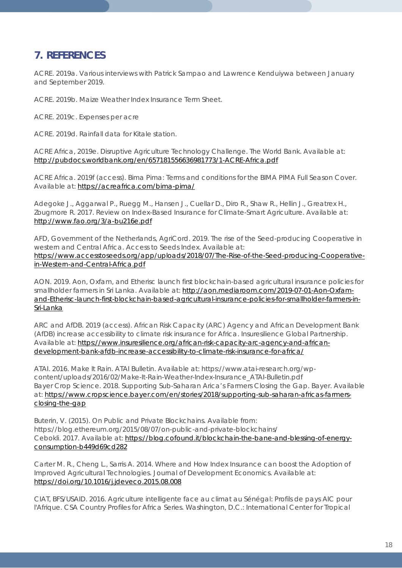## **7. REFERENCES**

ACRE. 2019a. Various interviews with Patrick Sampao and Lawrence Kenduiywa between January and September 2019.

ACRE. 2019b. Maize Weather Index Insurance Term Sheet.

ACRE. 2019c. Expenses per acre

ACRE. 2019d. Rainfall data for Kitale station.

ACRE Africa, 2019e. Disruptive Agriculture Technology Challenge. The World Bank. Available at: <http://pubdocs.worldbank.org/en/657181556636981773/1-ACRE-Africa.pdf>

ACRE Africa. 2019f (access). Bima Pima: Terms and conditions for the BIMA PIMA Full Season Cover. Available at:<https://acreafrica.com/bima-pima/>

Adegoke J., Aggarwal P., Ruegg M., Hansen J., Cuellar D., Diro R., Shaw R., Hellin J., Greatrex H., Zougmore R. 2017. Review on Index-Based Insurance for Climate-Smart Agriculture. Available at: <http://www.fao.org/3/a-bu216e.pdf>

AFD, Government of the Netherlands, AgriCord. 2019. The rise of the Seed-producing Cooperative in western and Central Africa. Access to Seeds Index. Available at: [https://www.accesstoseeds.org/app/uploads/2018/07/The-Rise-of-the-Seed-producing-Cooperative](https://www.accesstoseeds.org/app/uploads/2018/07/The-Rise-of-the-Seed-producing-Cooperative-in-Western-and-Central-Africa.pdf)[in-Western-and-Central-Africa.pdf](https://www.accesstoseeds.org/app/uploads/2018/07/The-Rise-of-the-Seed-producing-Cooperative-in-Western-and-Central-Africa.pdf)

AON. 2019. Aon, Oxfam, and Etherisc launch first blockchain-based agricultural insurance policies for smallholder farmers in Sri Lanka. Available at: [http://aon.mediaroom.com/2019-07-01-Aon-Oxfam](http://aon.mediaroom.com/2019-07-01-Aon-Oxfam-and-Etherisc-launch-first-blockchain-based-agricultural-insurance-policies-for-smallholder-farmers-in-Sri-Lanka)[and-Etherisc-launch-first-blockchain-based-agricultural-insurance-policies-for-smallholder-farmers-in-](http://aon.mediaroom.com/2019-07-01-Aon-Oxfam-and-Etherisc-launch-first-blockchain-based-agricultural-insurance-policies-for-smallholder-farmers-in-Sri-Lanka)[Sri-Lanka](http://aon.mediaroom.com/2019-07-01-Aon-Oxfam-and-Etherisc-launch-first-blockchain-based-agricultural-insurance-policies-for-smallholder-farmers-in-Sri-Lanka)

ARC and AfDB. 2019 (access). African Risk Capacity (ARC) Agency and African Development Bank (AfDB) increase accessibility to climate risk insurance for Africa. Insuresilience Global Partnership. Available at: [https://www.insuresilience.org/african-risk-capacity-arc-agency-and-african](https://www.insuresilience.org/african-risk-capacity-arc-agency-and-african-development-bank-afdb-increase-accessibility-to-climate-risk-insurance-for-africa/)[development-bank-afdb-increase-accessibility-to-climate-risk-insurance-for-africa/](https://www.insuresilience.org/african-risk-capacity-arc-agency-and-african-development-bank-afdb-increase-accessibility-to-climate-risk-insurance-for-africa/)

ATAI. 2016. Make It Rain. ATAI Bulletin. Available at: https://www.atai-research.org/wpcontent/uploads/2016/02/Make-It-Rain-Weather-Index-Insurance\_ATAI-Bulletin.pdf Bayer Crop Science. 2018. Supporting Sub-Saharan Arica's Farmers Closing the Gap. Bayer. Available at: [https://www.cropscience.bayer.com/en/stories/2018/supporting-sub-saharan-africas-farmers](https://www.cropscience.bayer.com/en/stories/2018/supporting-sub-saharan-africas-farmers-closing-the-gap)[closing-the-gap](https://www.cropscience.bayer.com/en/stories/2018/supporting-sub-saharan-africas-farmers-closing-the-gap)

Buterin, V. (2015). On Public and Private Blockchains. Available from: https://blog.ethereum.org/2015/08/07/on-public-and-private-blockchains/ Cebokli. 2017. Available at: [https://blog.cofound.it/blockchain-the-bane-and-blessing-of-energy](https://blog.cofound.it/blockchain-the-bane-and-blessing-of-energy-consumption-b449d69cd282)[consumption-b449d69cd282](https://blog.cofound.it/blockchain-the-bane-and-blessing-of-energy-consumption-b449d69cd282)

Carter M. R., Cheng L., Sarris A. 2014. Where and How Index Insurance can boost the Adoption of Improved Agricultural Technologies. Journal of Development Economics. Available at: <https://doi.org/10.1016/j.jdeveco.2015.08.008>

CIAT, BFS/USAID. 2016. Agriculture intelligente face au climat au Sénégal: Profils de pays AIC pour l'Afrique. CSA Country Profiles for Africa Series. Washington, D.C.: International Center for Tropical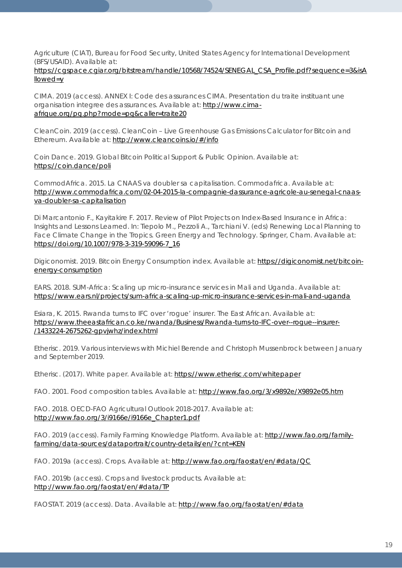Agriculture (CIAT), Bureau for Food Security, United States Agency for International Development (BFS/USAID). Available at:

### [https://cgspace.cgiar.org/bitstream/handle/10568/74524/SENEGAL\\_CSA\\_Profile.pdf?sequence=3&isA](https://cgspace.cgiar.org/bitstream/handle/10568/74524/SENEGAL_CSA_Profile.pdf?sequence=3&isAllowed=y) [llowed=y](https://cgspace.cgiar.org/bitstream/handle/10568/74524/SENEGAL_CSA_Profile.pdf?sequence=3&isAllowed=y)

CIMA. 2019 (access). ANNEX I: Code des assurances CIMA. Presentation du traite instituant une organisation integree des assurances. Available at: [http://www.cima](http://www.cima-afrique.org/pg.php?mode=pg&caller=traite20)[afrique.org/pg.php?mode=pg&caller=traite20](http://www.cima-afrique.org/pg.php?mode=pg&caller=traite20)

CleanCoin. 2019 (access). CleanCoin – Live Greenhouse Gas Emissions Calculator for Bitcoin and Ethereum. Available at:<http://www.cleancoins.io/#/info>

Coin Dance. 2019. Global Bitcoin Political Support & Public Opinion. Available at: <https://coin.dance/poli>

CommodAfrica. 2015. La CNAAS va doubler sa capitalisation. Commodafrica. Available at: [http://www.commodafrica.com/02-04-2015-la-compagnie-dassurance-agricole-au-senegal-cnaas](http://www.commodafrica.com/02-04-2015-la-compagnie-dassurance-agricole-au-senegal-cnaas-va-doubler-sa-capitalisation)[va-doubler-sa-capitalisation](http://www.commodafrica.com/02-04-2015-la-compagnie-dassurance-agricole-au-senegal-cnaas-va-doubler-sa-capitalisation)

Di Marcantonio F., Kayitakire F. 2017. Review of Pilot Projects on Index-Based Insurance in Africa: Insights and Lessons Learned. In: Tiepolo M., Pezzoli A., Tarchiani V. (eds) Renewing Local Planning to Face Climate Change in the Tropics. Green Energy and Technology. Springer, Cham. Available at: [https://doi.org/10.1007/978-3-319-59096-7\\_16](https://doi.org/10.1007/978-3-319-59096-7_16)

Digiconomist. 2019. Bitcoin Energy Consumption index. Available at: [https://digiconomist.net/bitcoin](https://digiconomist.net/bitcoin-energy-consumption)[energy-consumption](https://digiconomist.net/bitcoin-energy-consumption)

EARS. 2018. SUM-Africa: Scaling up micro-insurance services in Mali and Uganda. Available at: <https://www.ears.nl/projects/sum-africa-scaling-up-micro-insurance-services-in-mali-and-uganda>

Esiara, K. 2015. Rwanda turns to IFC over 'rogue' insurer. The East African. Available at: [https://www.theeastafrican.co.ke/rwanda/Business/Rwanda-turns-to-IFC-over--rogue--insurer-](https://www.theeastafrican.co.ke/rwanda/Business/Rwanda-turns-to-IFC-over--rogue--insurer-/1433224-2675262-gpvjwhz/index.html) [/1433224-2675262-gpvjwhz/index.html](https://www.theeastafrican.co.ke/rwanda/Business/Rwanda-turns-to-IFC-over--rogue--insurer-/1433224-2675262-gpvjwhz/index.html)

Etherisc. 2019. Various interviews with Michiel Berende and Christoph Mussenbrock between January and September 2019.

Etherisc. (2017). White paper. Available at:<https://www.etherisc.com/whitepaper>

FAO. 2001. Food composition tables. Available at:<http://www.fao.org/3/x9892e/X9892e05.htm>

FAO. 2018. OECD-FAO Agricultural Outlook 2018-2017. Available at: [http://www.fao.org/3/i9166e/i9166e\\_Chapter1.pdf](http://www.fao.org/3/i9166e/i9166e_Chapter1.pdf)

FAO. 2019 (access). Family Farming Knowledge Platform. Available at: [http://www.fao.org/family](http://www.fao.org/family-farming/data-sources/dataportrait/country-details/en/?cnt=KEN)[farming/data-sources/dataportrait/country-details/en/?cnt=KEN](http://www.fao.org/family-farming/data-sources/dataportrait/country-details/en/?cnt=KEN)

FAO. 2019a (access). Crops. Available at:<http://www.fao.org/faostat/en/#data/QC>

FAO. 2019b (access). Crops and livestock products. Available at: <http://www.fao.org/faostat/en/#data/TP>

FAOSTAT. 2019 (access). Data. Available at:<http://www.fao.org/faostat/en/#data>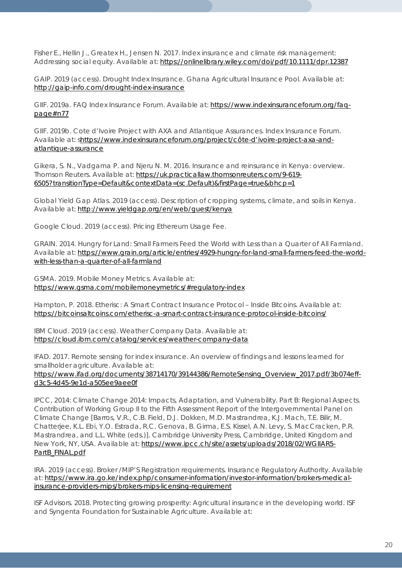Fisher E., Hellin J., Greatex H., Jensen N. 2017. Index insurance and climate risk management: Addressing social equity. Available at:<https://onlinelibrary.wiley.com/doi/pdf/10.1111/dpr.12387>

GAIP. 2019 (access). Drought Index Insurance. Ghana Agricultural Insurance Pool. Available at: <http://gaip-info.com/drought-index-insurance>

GIIF. 2019a. FAQ Index Insurance Forum. Available at: [https://www.indexinsuranceforum.org/faq](https://www.indexinsuranceforum.org/faq-page#n77)[page#n77](https://www.indexinsuranceforum.org/faq-page#n77)

GIIF. 2019b. Cote d'Ivoire Project with AXA and Atlantique Assurances. Index Insurance Forum. Available at: [shttps://www.indexinsuranceforum.org/project/côte-d'ivoire-project-axa-and](https://www.indexinsuranceforum.org/project/c%C3%B4te-d)[atlantique-assurance](https://www.indexinsuranceforum.org/project/c%C3%B4te-d)

Gikera, S. N., Vadgama P. and Njeru N. M. 2016. Insurance and reinsurance in Kenya: overview. Thomson Reuters. Available at: [https://uk.practicallaw.thomsonreuters.com/9-619-](https://uk.practicallaw.thomsonreuters.com/9-619-6505?transitionType=Default&contextData=(sc.Default)&firstPage=true&bhcp=1) [6505?transitionType=Default&contextData=\(sc.Default\)&firstPage=true&bhcp=1](https://uk.practicallaw.thomsonreuters.com/9-619-6505?transitionType=Default&contextData=(sc.Default)&firstPage=true&bhcp=1)

Global Yield Gap Atlas. 2019 (access). Description of cropping systems, climate, and soils in Kenya. Available at:<http://www.yieldgap.org/en/web/guest/kenya>

Google Cloud. 2019 (access). Pricing Ethereum Usage Fee.

GRAIN. 2014. Hungry for Land: Small Farmers Feed the World with Less than a Quarter of All Farmland. Available at: [https://www.grain.org/article/entries/4929-hungry-for-land-small-farmers-feed-the-world](https://www.grain.org/article/entries/4929-hungry-for-land-small-farmers-feed-the-world-with-less-than-a-quarter-of-all-farmland)[with-less-than-a-quarter-of-all-farmland](https://www.grain.org/article/entries/4929-hungry-for-land-small-farmers-feed-the-world-with-less-than-a-quarter-of-all-farmland)

GSMA. 2019. Mobile Money Metrics. Available at: <https://www.gsma.com/mobilemoneymetrics/#regulatory-index>

Hampton, P. 2018. Etherisc: A Smart Contract Insurance Protocol – Inside Bitcoins. Available at: <https://bitcoinsaltcoins.com/etherisc-a-smart-contract-insurance-protocol-inside-bitcoins/>

IBM Cloud. 2019 (access). Weather Company Data. Available at: <https://cloud.ibm.com/catalog/services/weather-company-data>

IFAD. 2017. Remote sensing for index insurance. An overview of findings and lessons learned for smallholder agriculture. Available at: [https://www.ifad.org/documents/38714170/39144386/RemoteSensing\\_Overview\\_2017.pdf/3b074eff](https://www.ifad.org/documents/38714170/39144386/RemoteSensing_Overview_2017.pdf/3b074eff-d3c5-4d45-9e1d-a505ee9aee0f)[d3c5-4d45-9e1d-a505ee9aee0f](https://www.ifad.org/documents/38714170/39144386/RemoteSensing_Overview_2017.pdf/3b074eff-d3c5-4d45-9e1d-a505ee9aee0f)

IPCC, 2014: Climate Change 2014: Impacts, Adaptation, and Vulnerability. Part B: Regional Aspects. Contribution of Working Group II to the Fifth Assessment Report of the Intergovernmental Panel on Climate Change [Barros, V.R., C.B. Field, D.J. Dokken, M.D. Mastrandrea, K.J. Mach, T.E. Bilir, M. Chatterjee, K.L. Ebi, Y.O. Estrada, R.C. Genova, B. Girma, E.S. Kissel, A.N. Levy, S. MacCracken, P.R. Mastrandrea, and L.L. White (eds.)]. Cambridge University Press, Cambridge, United Kingdom and New York, NY, USA. Available at: [https://www.ipcc.ch/site/assets/uploads/2018/02/WGIIAR5-](https://www.ipcc.ch/site/assets/uploads/2018/02/WGIIAR5-PartB_FINAL.pdf) [PartB\\_FINAL.pdf](https://www.ipcc.ch/site/assets/uploads/2018/02/WGIIAR5-PartB_FINAL.pdf)

IRA. 2019 (access). Broker /MIP'S Registration requirements. Insurance Regulatory Authority. Available at: [https://www.ira.go.ke/index.php/consumer-information/investor-information/brokers-medical](https://www.ira.go.ke/index.php/consumer-information/investor-information/brokers-medical-insurance-providers-mips/brokers-mips-licensing-requirement)[insurance-providers-mips/brokers-mips-licensing-requirement](https://www.ira.go.ke/index.php/consumer-information/investor-information/brokers-medical-insurance-providers-mips/brokers-mips-licensing-requirement)

ISF Advisors. 2018. Protecting growing prosperity: Agricultural insurance in the developing world. ISF and Syngenta Foundation for Sustainable Agriculture. Available at: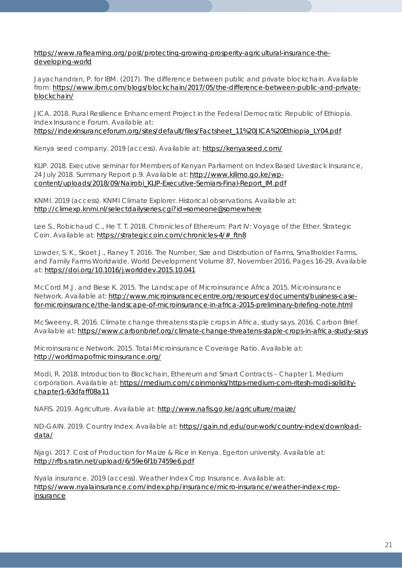[https://www.raflearning.org/post/protecting-growing-prosperity-agricultural-insurance-the](https://www.raflearning.org/post/protecting-growing-prosperity-agricultural-insurance-the-developing-world)[developing-world](https://www.raflearning.org/post/protecting-growing-prosperity-agricultural-insurance-the-developing-world)

Jayachandran, P. for IBM. (2017). The difference between public and private blockchain. Available from: [https://www.ibm.com/blogs/blockchain/2017/05/the-difference-between-public-and-private](https://www.ibm.com/blogs/blockchain/2017/05/the-difference-between-public-and-private-blockchain/)[blockchain/](https://www.ibm.com/blogs/blockchain/2017/05/the-difference-between-public-and-private-blockchain/)

JICA. 2018. Rural Resilience Enhancement Project in the Federal Democratic Republic of Ethiopia. Index Insurance Forum. Available at:

[https://indexinsuranceforum.org/sites/default/files/Factsheet\\_11%20JICA%20Ethiopia\\_LY04.pdf](https://indexinsuranceforum.org/sites/default/files/Factsheet_11%20JICA%20Ethiopia_LY04.pdf)

Kenya seed company. 2019 (access). Available at:<https://kenyaseed.com/>

KLIP. 2018. Executive seminar for Members of Kenyan Parliament on Index Based Livestock Insurance, 24 July 2018. Summary Report p.9. Available at: [http://www.kilimo.go.ke/wp](http://www.kilimo.go.ke/wp-content/uploads/2018/09/Nairobi_KLIP-Executive-Semiars-Final-Report_IM.pdf)[content/uploads/2018/09/Nairobi\\_KLIP-Executive-Semiars-Final-Report\\_IM.pdf](http://www.kilimo.go.ke/wp-content/uploads/2018/09/Nairobi_KLIP-Executive-Semiars-Final-Report_IM.pdf)

KNMI. 2019 (access). KNMI Climate Explorer. Historical observations. Available at: <http://climexp.knmi.nl/selectdailyseries.cgi?id=someone@somewhere>

Lee S., Robichaud C., He T. T. 2018. Chronicles of Ethereum: Part IV: Voyage of the Ether. Strategic Coin. Available at: [https://strategiccoin.com/chronicles-4/#\\_ftn8](https://strategiccoin.com/chronicles-4/#_ftn8)

Lowder, S. K., Skoet J., Raney T. 2016. The Number, Size and Distribution of Farms, Smallholder Farms, and Family Farms Worldwide. World Development Volume 87, November 2016, Pages 16-29, Available at:<https://doi.org/10.1016/j.worlddev.2015.10.041>

McCord M.J. and Biese K. 2015. The Landscape of Microinsurance Africa 2015. Microinsurance Network. Available at: [http://www.microinsurancecentre.org/resources/documents/business-case](http://www.microinsurancecentre.org/resources/documents/business-case-for-microinsurance/the-landscape-of-microinsurance-in-africa-2015-preliminary-briefing-note.html)[for-microinsurance/the-landscape-of-microinsurance-in-africa-2015-preliminary-briefing-note.html](http://www.microinsurancecentre.org/resources/documents/business-case-for-microinsurance/the-landscape-of-microinsurance-in-africa-2015-preliminary-briefing-note.html)

McSweeny, R. 2016. Climate change threatens staple crops in Africa, study says. 2016. Carbon Brief. Available at: <https://www.carbonbrief.org/climate-change-threatens-staple-crops-in-africa-study-says>

Microinsurance Network. 2015. Total Microinsurance Coverage Ratio. Available at: <http://worldmapofmicroinsurance.org/>

Modi, R. 2018. Introduction to Blockchain, Ethereum and Smart Contracts – Chapter 1. Medium corporation. Available at: [https://medium.com/coinmonks/https-medium-com-ritesh-modi-solidity](https://medium.com/coinmonks/https-medium-com-ritesh-modi-solidity-chapter1-63dfaff08a11)[chapter1-63dfaff08a11](https://medium.com/coinmonks/https-medium-com-ritesh-modi-solidity-chapter1-63dfaff08a11)

NAFIS. 2019. Agriculture. Available at:<http://www.nafis.go.ke/agriculture/maize/>

ND-GAIN. 2019. Country Index. Available at: [https://gain.nd.edu/our-work/country-index/download](https://gain.nd.edu/our-work/country-index/download-data/)[data/](https://gain.nd.edu/our-work/country-index/download-data/)

Njagi. 2017. Cost of Production for Maize & Rice in Kenya. Egerton university. Available at: <http://rfbs.ratin.net/upload/6/59e6f1b7459e6.pdf>

Nyala insurance. 2019 (access). Weather Index Crop Insurance. Available at: [https://www.nyalainsurance.com/index.php/insurance/micro-insurance/weather-index-crop](https://www.nyalainsurance.com/index.php/insurance/micro-insurance/weather-index-crop-insurance)[insurance](https://www.nyalainsurance.com/index.php/insurance/micro-insurance/weather-index-crop-insurance)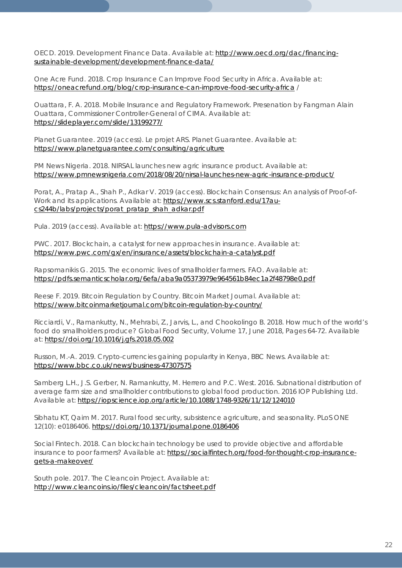OECD. 2019. Development Finance Data. Available at: [http://www.oecd.org/dac/financing](http://www.oecd.org/dac/financing-sustainable-development/development-finance-data/)[sustainable-development/development-finance-data/](http://www.oecd.org/dac/financing-sustainable-development/development-finance-data/)

One Acre Fund. 2018. Crop Insurance Can Improve Food Security in Africa. Available at: <https://oneacrefund.org/blog/crop-insurance-can-improve-food-security-africa> /

Ouattara, F. A. 2018. Mobile Insurance and Regulatory Framework. Presenation by Fangman Alain Ouattara, Commissioner Controller-General of CIMA. Available at: <https://slideplayer.com/slide/13199277/>

Planet Guarantee. 2019 (access). Le projet ARS. Planet Guarantee. Available at: <https://www.planetguarantee.com/consulting/agriculture>

PM News Nigeria. 2018. NIRSAL launches new agric insurance product. Available at: <https://www.pmnewsnigeria.com/2018/08/20/nirsal-launches-new-agric-insurance-product/>

Porat, A., Pratap A., Shah P., Adkar V. 2019 (access). Blockchain Consensus: An analysis of Proof-of-Work and its applications. Available at: [https://www.scs.stanford.edu/17au](https://www.scs.stanford.edu/17au-cs244b/labs/projects/porat_pratap_shah_adkar.pdf)[cs244b/labs/projects/porat\\_pratap\\_shah\\_adkar.pdf](https://www.scs.stanford.edu/17au-cs244b/labs/projects/porat_pratap_shah_adkar.pdf)

Pula. 2019 (access). Available at: [https://www.pula-advisors.com](https://www.pula-advisors.com/)

PWC. 2017. Blockchain, a catalyst for new approaches in insurance. Available at: <https://www.pwc.com/gx/en/insurance/assets/blockchain-a-catalyst.pdf>

Rapsomanikis G. 2015. The economic lives of smallholder farmers. FAO. Available at: <https://pdfs.semanticscholar.org/6efa/aba9a05373979e964561b84ec1a2f48798e0.pdf>

Reese F. 2019. Bitcoin Regulation by Country. Bitcoin Market Journal. Available at: <https://www.bitcoinmarketjournal.com/bitcoin-regulation-by-country/>

Ricciardi, V., Ramankutty, N., Mehrabi, Z., Jarvis, L., and Chookolingo B. 2018. How much of the world's food do smallholders produce? Global Food Security, Volume 17, June 2018, Pages 64-72. Available at:<https://doi.org/10.1016/j.gfs.2018.05.002>

Russon, M.-A. 2019. Crypto-currencies gaining popularity in Kenya, BBC News. Available at: <https://www.bbc.co.uk/news/business-47307575>

Samberg L.H., J.S. Gerber, N. Ramankutty, M. Herrero and P.C. West. 2016. Subnational distribution of average farm size and smallholder contributions to global food production. 2016 IOP Publishing Ltd. Available at:<https://iopscience.iop.org/article/10.1088/1748-9326/11/12/124010>

Sibhatu KT, Qaim M. 2017. Rural food security, subsistence agriculture, and seasonality. PLoS ONE 12(10): e0186406.<https://doi.org/10.1371/journal.pone.0186406>

Social Fintech. 2018. Can blockchain technology be used to provide objective and affordable insurance to poor farmers? Available at: [https://socialfintech.org/food-for-thought-crop-insurance](https://socialfintech.org/food-for-thought-crop-insurance-gets-a-makeover/)[gets-a-makeover/](https://socialfintech.org/food-for-thought-crop-insurance-gets-a-makeover/)

South pole. 2017. The Cleancoin Project. Available at: <http://www.cleancoins.io/files/cleancoin/factsheet.pdf>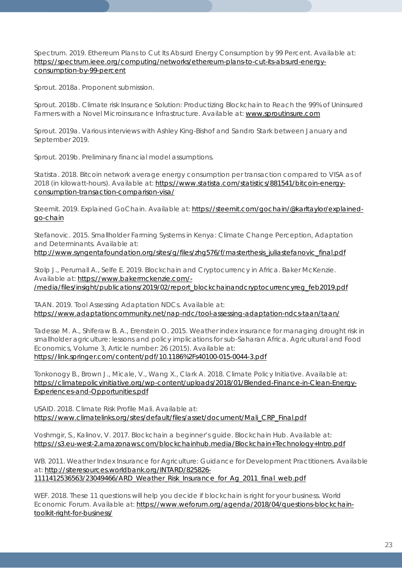Spectrum. 2019. Ethereum Plans to Cut Its Absurd Energy Consumption by 99 Percent. Available at: [https://spectrum.ieee.org/computing/networks/ethereum-plans-to-cut-its-absurd-energy](https://spectrum.ieee.org/computing/networks/ethereum-plans-to-cut-its-absurd-energy-consumption-by-99-percent)[consumption-by-99-percent](https://spectrum.ieee.org/computing/networks/ethereum-plans-to-cut-its-absurd-energy-consumption-by-99-percent)

Sprout. 2018a. Proponent submission.

Sprout. 2018b. Climate risk Insurance Solution: Productizing Blockchain to Reach the 99% of Uninsured Farmers with a Novel Microinsurance Infrastructure. Available at: [www.sproutinsure.com](http://www.sproutinsure.com/)

Sprout. 2019a. Various interviews with Ashley King-Bishof and Sandro Stark between January and September 2019.

Sprout. 2019b. Preliminary financial model assumptions.

Statista. 2018. Bitcoin network average energy consumption per transaction compared to VISA as of 2018 (in kilowatt-hours). Available at: [https://www.statista.com/statistics/881541/bitcoin-energy](https://www.statista.com/statistics/881541/bitcoin-energy-consumption-transaction-comparison-visa/)[consumption-transaction-comparison-visa/](https://www.statista.com/statistics/881541/bitcoin-energy-consumption-transaction-comparison-visa/)

Steemit. 2019. Explained GoChain. Available at: [https://steemit.com/gochain/@karltaylor/explained](https://steemit.com/gochain/@karltaylor/explained-go-chain)[go-chain](https://steemit.com/gochain/@karltaylor/explained-go-chain)

Stefanovic. 2015. Smallholder Farming Systems in Kenya: Climate Change Perception, Adaptation and Determinants. Available at:

[http://www.syngentafoundation.org/sites/g/files/zhg576/f/masterthesis\\_juliastefanovic\\_final.pdf](http://www.syngentafoundation.org/sites/g/files/zhg576/f/masterthesis_juliastefanovic_final.pdf)

Stolp J., Perumall A., Selfe E. 2019. Blockchain and Cryptocurrency in Africa. Baker McKenzie. Available at: [https://www.bakermckenzie.com/-](https://www.bakermckenzie.com/-/media/files/insight/publications/2019/02/report_blockchainandcryptocurrencyreg_feb2019.pdf) [/media/files/insight/publications/2019/02/report\\_blockchainandcryptocurrencyreg\\_feb2019.pdf](https://www.bakermckenzie.com/-/media/files/insight/publications/2019/02/report_blockchainandcryptocurrencyreg_feb2019.pdf)

TAAN. 2019. Tool Assessing Adaptation NDCs. Available at: <https://www.adaptationcommunity.net/nap-ndc/tool-assessing-adaptation-ndcs-taan/taan/>

Tadesse M. A., Shiferaw B. A., Erenstein O. 2015. Weather index insurance for managing drought risk in smallholder agriculture: lessons and policy implications for sub-Saharan Africa. Agricultural and Food Economics, Volume 3, Article number: 26 (2015). Available at: <https://link.springer.com/content/pdf/10.1186%2Fs40100-015-0044-3.pdf>

Tonkonogy B., Brown J., Micale, V., Wang X., Clark A. 2018. Climate Policy Initiative. Available at: [https://climatepolicyinitiative.org/wp-content/uploads/2018/01/Blended-Finance-in-Clean-Energy-](https://climatepolicyinitiative.org/wp-content/uploads/2018/01/Blended-Finance-in-Clean-Energy-Experiences-and-Opportunities.pdf)[Experiences-and-Opportunities.pdf](https://climatepolicyinitiative.org/wp-content/uploads/2018/01/Blended-Finance-in-Clean-Energy-Experiences-and-Opportunities.pdf)

USAID. 2018. Climate Risk Profile Mali. Available at: [https://www.climatelinks.org/sites/default/files/asset/document/Mali\\_CRP\\_Final.pdf](https://www.climatelinks.org/sites/default/files/asset/document/Mali_CRP_Final.pdf)

Voshmgir, S., Kalinov, V. 2017. Blockchain a beginner's guide. Blockchain Hub. Available at: <https://s3.eu-west-2.amazonaws.com/blockchainhub.media/Blockchain+Technology+Intro.pdf>

WB. 2011. Weather Index Insurance for Agriculture: Guidance for Development Practitioners. Available at: [http://siteresources.worldbank.org/INTARD/825826-](http://siteresources.worldbank.org/INTARD/825826-1111412536563/23049466/ARD_Weather_Risk_Insurance_for_Ag_2011_final_web.pdf) [1111412536563/23049466/ARD\\_Weather\\_Risk\\_Insurance\\_for\\_Ag\\_2011\\_final\\_web.pdf](http://siteresources.worldbank.org/INTARD/825826-1111412536563/23049466/ARD_Weather_Risk_Insurance_for_Ag_2011_final_web.pdf)

WEF. 2018. These 11 questions will help you decide if blockchain is right for your business. World Economic Forum. Available at: [https://www.weforum.org/agenda/2018/04/questions-blockchain](https://www.weforum.org/agenda/2018/04/questions-blockchain-toolkit-right-for-business/)[toolkit-right-for-business/](https://www.weforum.org/agenda/2018/04/questions-blockchain-toolkit-right-for-business/)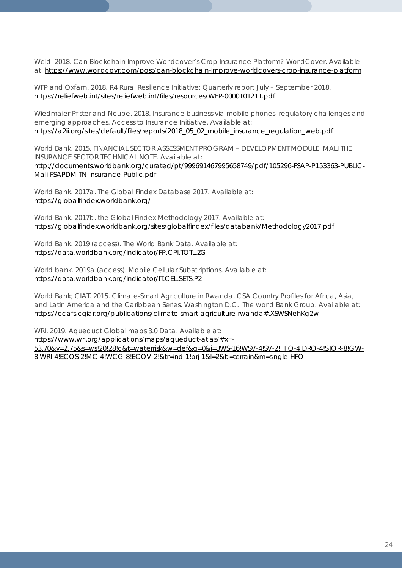Weld. 2018. Can Blockchain Improve Worldcover's Crop Insurance Platform? WorldCover. Available at:<https://www.worldcovr.com/post/can-blockchain-improve-worldcovers-crop-insurance-platform>

WFP and Oxfam. 2018. R4 Rural Resilience Initiative: Quarterly report July – September 2018. <https://reliefweb.int/sites/reliefweb.int/files/resources/WFP-0000101211.pdf>

Wiedmaier-Pfister and Ncube. 2018. Insurance business via mobile phones: regulatory challenges and emerging approaches. Access to Insurance Initiative. Available at: [https://a2ii.org/sites/default/files/reports/2018\\_05\\_02\\_mobile\\_insurance\\_regulation\\_web.pdf](https://a2ii.org/sites/default/files/reports/2018_05_02_mobile_insurance_regulation_web.pdf)

World Bank. 2015. FINANCIAL SECTOR ASSESSMENT PROGRAM – DEVELOPMENT MODULE. MALI THE INSURANCE SECTOR TECHNICAL NOTE. Available at: [http://documents.worldbank.org/curated/pt/999691467995658749/pdf/105296-FSAP-P153363-PUBLIC-](http://documents.worldbank.org/curated/pt/999691467995658749/pdf/105296-FSAP-P153363-PUBLIC-Mali-FSAPDM-TN-Insurance-Public.pdf)[Mali-FSAPDM-TN-Insurance-Public.pdf](http://documents.worldbank.org/curated/pt/999691467995658749/pdf/105296-FSAP-P153363-PUBLIC-Mali-FSAPDM-TN-Insurance-Public.pdf)

World Bank. 2017a. The Global Findex Database 2017. Available at: <https://globalfindex.worldbank.org/>

World Bank. 2017b. the Global Findex Methodology 2017. Available at: <https://globalfindex.worldbank.org/sites/globalfindex/files/databank/Methodology2017.pdf>

World Bank. 2019 (access). The World Bank Data. Available at: <https://data.worldbank.org/indicator/FP.CPI.TOTL.ZG>

World bank. 2019a (access). Mobile Cellular Subscriptions. Available at: <https://data.worldbank.org/indicator/IT.CEL.SETS.P2>

World Bank; CIAT. 2015. Climate-Smart Agriculture in Rwanda. CSA Country Profiles for Africa, Asia, and Latin America and the Caribbean Series. Washington D.C.: The world Bank Group. Available at: <https://ccafs.cgiar.org/publications/climate-smart-agriculture-rwanda#.XSWSNehKg2w>

WRI. 2019. Aqueduct Global maps 3.0 Data. Available at:

[https://www.wri.org/applications/maps/aqueduct-atlas/#x=-](https://www.wri.org/applications/maps/aqueduct-atlas/#x=-53.70&y=2.75&s=ws!20!28!c&t=waterrisk&w=def&g=0&i=BWS-16!WSV-4!SV-2!HFO-4!DRO-4!STOR-8!GW-8!WRI-4!ECOS-2!MC-4!WCG-8!ECOV-2!&tr=ind-1!prj-1&l=2&b=terrain&m=single-HFO) [53.70&y=2.75&s=ws!20!28!c&t=waterrisk&w=def&g=0&i=BWS-16!WSV-4!SV-2!HFO-4!DRO-4!STOR-8!GW-](https://www.wri.org/applications/maps/aqueduct-atlas/#x=-53.70&y=2.75&s=ws!20!28!c&t=waterrisk&w=def&g=0&i=BWS-16!WSV-4!SV-2!HFO-4!DRO-4!STOR-8!GW-8!WRI-4!ECOS-2!MC-4!WCG-8!ECOV-2!&tr=ind-1!prj-1&l=2&b=terrain&m=single-HFO)[8!WRI-4!ECOS-2!MC-4!WCG-8!ECOV-2!&tr=ind-1!prj-1&l=2&b=terrain&m=single-HFO](https://www.wri.org/applications/maps/aqueduct-atlas/#x=-53.70&y=2.75&s=ws!20!28!c&t=waterrisk&w=def&g=0&i=BWS-16!WSV-4!SV-2!HFO-4!DRO-4!STOR-8!GW-8!WRI-4!ECOS-2!MC-4!WCG-8!ECOV-2!&tr=ind-1!prj-1&l=2&b=terrain&m=single-HFO)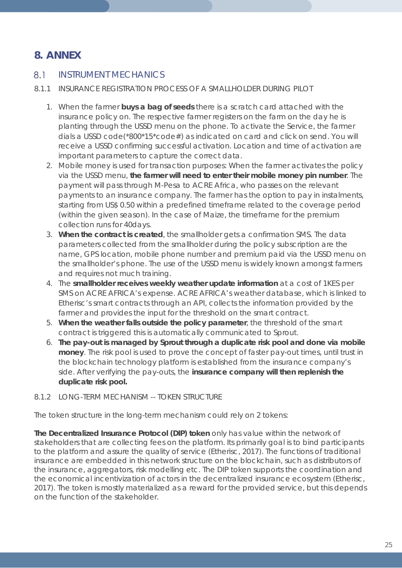## **8. ANNEX**

#### $8.1$ INSTRUMENT MECHANICS

- 8.1.1 INSURANCE REGISTRATION PROCESS OF A SMALLHOLDER DURING PILOT
	- 1. When the farmer **buys a bag of seeds** there is a scratch card attached with the insurance policy on. The respective farmer registers on the farm on the day he is planting through the USSD menu on the phone. To activate the Service, the farmer dials a USSD code(\*800\*15\*code#) as indicated on card and click on send. You will receive a USSD confirming successful activation. Location and time of activation are important parameters to capture the correct data.
	- 2. Mobile money is used for transaction purposes: When the farmer activates the policy via the USSD menu, **the farmer will need to enter their mobile money pin number**. The payment will pass through M-Pesa to ACRE Africa, who passes on the relevant payments to an insurance company. The farmer has the option to pay in instalments, starting from US\$ 0.50 within a predefined timeframe related to the coverage period (within the given season). In the case of Maize, the timeframe for the premium collection runs for 40days.
	- 3. **When the contract is created**, the smallholder gets a confirmation SMS. The data parameters collected from the smallholder during the policy subscription are the name, GPS location, mobile phone number and premium paid via the USSD menu on the smallholder's phone. The use of the USSD menu is widely known amongst farmers and requires not much training.
	- 4. The **smallholder receives weekly weather update information** at a cost of 1KES per SMS on ACRE AFRICA's expense. ACRE AFRICA's weather database, which is linked to Etherisc's smart contracts through an API, collects the information provided by the farmer and provides the input for the threshold on the smart contract.
	- 5. **When the weather falls outside the policy parameter**, the threshold of the smart contract is triggered this is automatically communicated to Sprout.
	- 6. **The pay-out is managed by Sprout through a duplicate risk pool and done via mobile money**. The risk pool is used to prove the concept of faster pay-out times, until trust in the blockchain technology platform is established from the insurance company's side. After verifying the pay-outs, the **insurance company will then replenish the duplicate risk pool.**

## 8.1.2 LONG-TERM MECHANISM -- TOKEN STRUCTURE

The token structure in the long-term mechanism could rely on 2 tokens:

**The Decentralized Insurance Protocol (DIP) token** only has value within the network of stakeholders that are collecting fees on the platform. Its primarily goal is to bind participants to the platform and assure the quality of service (Etherisc, 2017). The functions of traditional insurance are embedded in this network structure on the blockchain, such as distributors of the insurance, aggregators, risk modelling etc. The DIP token supports the coordination and the economical incentivization of actors in the decentralized insurance ecosystem (Etherisc, 2017). The token is mostly materialized as a reward for the provided service, but this depends on the function of the stakeholder.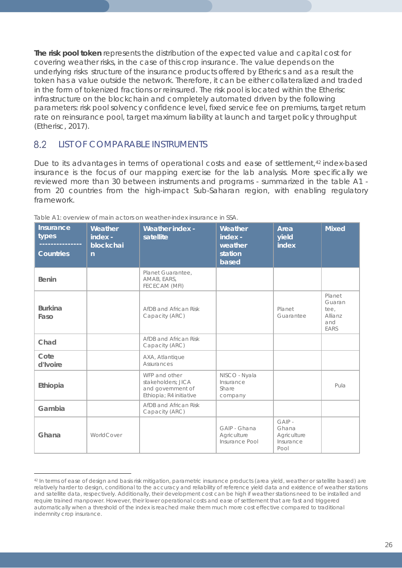**The risk pool token** represents the distribution of the expected value and capital cost for covering weather risks, in the case of this crop insurance. The value depends on the underlying risks structure of the insurance products offered by Etherics and as a result the token has a value outside the network. Therefore, it can be either collateralized and traded in the form of tokenized fractions or reinsured. The risk pool is located within the Etherisc infrastructure on the blockchain and completely automated driven by the following parameters: risk pool solvency confidence level, fixed service fee on premiums, target return rate on reinsurance pool, target maximum liability at launch and target policy throughput (Etherisc, 2017).

#### 8.2 LIST OF COMPARABLE INSTRUMENTS

 $\overline{a}$ 

Due to its advantages in terms of operational costs and ease of settlement,<sup>[42](#page-25-0)</sup> index-based insurance is the focus of our mapping exercise for the lab analysis. More specifically we reviewed more than 30 between instruments and programs - summarized in the table A1 from 20 countries from the high-impact Sub-Saharan region, with enabling regulatory framework.

| <b>Insurance</b><br>types<br><b>Countries</b> | Weather<br>index -<br>blockchai<br>$\overline{n}$ | <b>Weather index -</b><br>satellite                                                 | Weather<br>index -<br>weather<br>station<br>based | Area<br>yield<br>index                               | <b>Mixed</b>                                       |
|-----------------------------------------------|---------------------------------------------------|-------------------------------------------------------------------------------------|---------------------------------------------------|------------------------------------------------------|----------------------------------------------------|
| <b>Benin</b>                                  |                                                   | Planet Guarantee,<br>AMAB, EARS,<br>FECECAM (MFI)                                   |                                                   |                                                      |                                                    |
| <b>Burkina</b><br>Faso                        |                                                   | AfDB and African Risk<br>Capacity (ARC)                                             |                                                   | Planet<br>Guarantee                                  | Planet<br>Guaran<br>tee,<br>Allianz<br>and<br>EARS |
| Chad                                          |                                                   | AfDB and African Risk<br>Capacity (ARC)                                             |                                                   |                                                      |                                                    |
| Cote<br>d'Ivoire                              |                                                   | AXA, Atlantique<br>Assurances                                                       |                                                   |                                                      |                                                    |
| Ethiopia                                      |                                                   | WFP and other<br>stakeholders: JICA<br>and government of<br>Ethiopia; R4 initiative | NISCO - Nyala<br>Insurance<br>Share<br>company    |                                                      | Pula                                               |
| Gambia                                        |                                                   | AfDB and African Risk<br>Capacity (ARC)                                             |                                                   |                                                      |                                                    |
| Ghana                                         | WorldCover                                        |                                                                                     | GAIP - Ghana<br>Agriculture<br>Insurance Pool     | $GAP -$<br>Ghana<br>Agriculture<br>Insurance<br>Pool |                                                    |

*Table A1: overview of main actors on weather-index insurance in SSA.*

<span id="page-25-0"></span><sup>42</sup> In terms of ease of design and basis risk mitigation, parametric insurance products (area yield, weather or satellite based) are relatively harder to design, conditional to the accuracy and reliability of reference yield data and existence of weather stations and satellite data, respectively. Additionally, their development cost can be high if weather stations need to be installed and require trained manpower. However, their lower operational costs and ease of settlement that are fast and triggered automatically when a threshold of the index is reached make them much more cost effective compared to traditional indemnity crop insurance.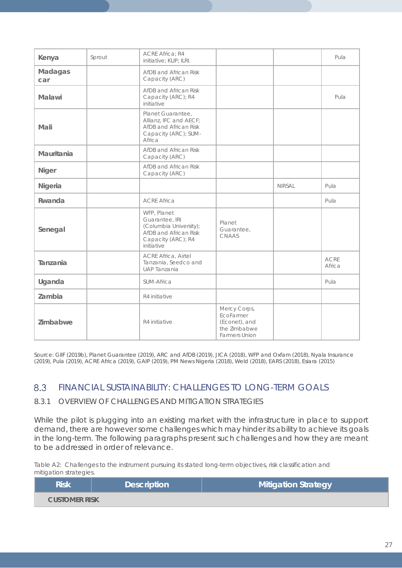| Kenya          | Sprout | <b>ACRE Africa: R4</b><br>initiative; KLIP; ILRI.                                                                    |                                                                                    | Pula          |                       |
|----------------|--------|----------------------------------------------------------------------------------------------------------------------|------------------------------------------------------------------------------------|---------------|-----------------------|
| Madagas<br>car |        | AfDB and African Risk<br>Capacity (ARC)                                                                              |                                                                                    |               |                       |
| Malawi         |        | AfDB and African Risk<br>Capacity (ARC); R4<br>initiative                                                            |                                                                                    |               | Pula                  |
| Mali           |        | Planet Guarantee,<br>Allianz, IFC and AECF;<br>AfDB and African Risk<br>Capacity (ARC); SUM-<br>Africa               |                                                                                    |               |                       |
| Mauritania     |        | AfDB and African Risk<br>Capacity (ARC)                                                                              |                                                                                    |               |                       |
| Niger          |        | AfDB and African Risk<br>Capacity (ARC)                                                                              |                                                                                    |               |                       |
| Nigeria        |        |                                                                                                                      |                                                                                    | <b>NIRSAL</b> | Pula                  |
| Rwanda         |        | <b>ACRE Africa</b>                                                                                                   |                                                                                    |               | Pula                  |
| Senegal        |        | WFP, Planet<br>Guarantee, IRI<br>(Columbia University);<br>AfDB and African Risk<br>Capacity (ARC); R4<br>initiative | Planet<br>Guarantee,<br>CNAAS                                                      |               |                       |
| Tanzania       |        | <b>ACRE Africa, Airtel</b><br>Tanzania, Seedco and<br>UAP Tanzania                                                   |                                                                                    |               | <b>ACRE</b><br>Africa |
| Uganda         |        | <b>SUM-Africa</b>                                                                                                    |                                                                                    |               | Pula                  |
| Zambia         |        | R4 initiative                                                                                                        |                                                                                    |               |                       |
| Zimbabwe       |        | R4 initiative                                                                                                        | Mercy Corps,<br>EcoFarmer<br>(Econet), and<br>the Zimbabwe<br><b>Farmers Union</b> |               |                       |

Source: GIIF (2019b), Planet Guarantee (2019), ARC and AfDB (2019), JICA (2018), WFP and Oxfam (2018), Nyala Insurance (2019), Pula (2019), ACRE Africa (2019), GAIP (2019), PM News Nigeria (2018), Weld (2018), EARS (2018), Esiara (2015)

### 8.3 FINANCIAL SUSTAINABILITY: CHALLENGES TO LONG-TERM GOALS

### 8.3.1 OVERVIEW OF CHALLENGES AND MITIGATION STRATEGIES

While the pilot is plugging into an existing market with the infrastructure in place to support demand, there are however some challenges which may hinder its ability to achieve its goals in the long-term. The following paragraphs present such challenges and how they are meant to be addressed in order of relevance.

*Table A2: Challenges to the instrument pursuing its stated long-term objectives, risk classification and mitigation strategies.*

| <b>Risk</b>          | <b>Description</b> | <b>Mitigation Strategy</b> |
|----------------------|--------------------|----------------------------|
| <b>CUSTOMER RISK</b> |                    |                            |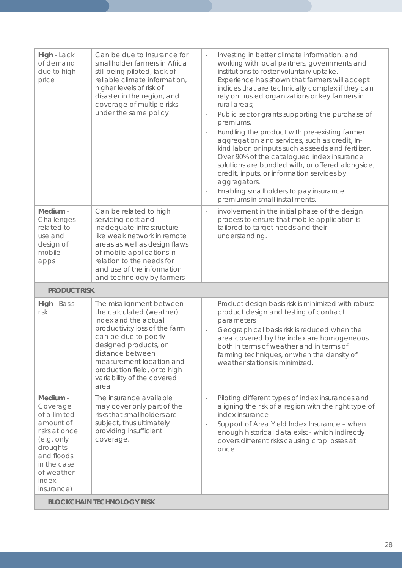| High - Lack<br>of demand<br>due to high<br>price                                                                                                               | Can be due to Insurance for<br>smallholder farmers in Africa<br>still being piloted, lack of<br>reliable climate information,<br>higher levels of risk of<br>disaster in the region, and<br>coverage of multiple risks<br>under the same policy                                      | Investing in better climate information, and<br>$\overline{\phantom{a}}$<br>working with local partners, governments and<br>institutions to foster voluntary uptake.<br>Experience has shown that farmers will accept<br>indices that are technically complex if they can<br>rely on trusted organizations or key farmers in<br>rural areas;<br>Public sector grants supporting the purchase of<br>$\overline{\phantom{a}}$<br>premiums.<br>Bundling the product with pre-existing farmer<br>$\overline{\phantom{a}}$ |  |
|----------------------------------------------------------------------------------------------------------------------------------------------------------------|--------------------------------------------------------------------------------------------------------------------------------------------------------------------------------------------------------------------------------------------------------------------------------------|-----------------------------------------------------------------------------------------------------------------------------------------------------------------------------------------------------------------------------------------------------------------------------------------------------------------------------------------------------------------------------------------------------------------------------------------------------------------------------------------------------------------------|--|
|                                                                                                                                                                |                                                                                                                                                                                                                                                                                      | aggregation and services, such as credit, In-<br>kind labor, or inputs such as seeds and fertilizer.<br>Over 90% of the catalogued index insurance<br>solutions are bundled with, or offered alongside,<br>credit, inputs, or information services by<br>aggregators.<br>Enabling smallholders to pay insurance<br>$\qquad \qquad -$<br>premiums in small installments.                                                                                                                                               |  |
| Medium -<br>Challenges<br>related to<br>use and<br>design of<br>mobile<br>apps                                                                                 | Can be related to high<br>servicing cost and<br>inadequate infrastructure<br>like weak network in remote<br>areas as well as design flaws<br>of mobile applications in<br>relation to the needs for<br>and use of the information<br>and technology by farmers                       | involvement in the initial phase of the design<br>$\qquad \qquad -$<br>process to ensure that mobile application is<br>tailored to target needs and their<br>understanding.                                                                                                                                                                                                                                                                                                                                           |  |
| <b>PRODUCT RISK</b>                                                                                                                                            |                                                                                                                                                                                                                                                                                      |                                                                                                                                                                                                                                                                                                                                                                                                                                                                                                                       |  |
| High - Basis<br>risk                                                                                                                                           | The misalignment between<br>the calculated (weather)<br>index and the actual<br>productivity loss of the farm<br>can be due to poorly<br>designed products, or<br>distance between<br>measurement location and<br>production field, or to high<br>variability of the covered<br>area | Product design basis risk is minimized with robust<br>$\bar{\phantom{a}}$<br>product design and testing of contract<br>parameters<br>Geographical basis risk is reduced when the<br>$\qquad \qquad -$<br>area covered by the index are homogeneous<br>both in terms of weather and in terms of<br>farming techniques, or when the density of<br>weather stations is minimized.                                                                                                                                        |  |
| Medium -<br>Coverage<br>of a limited<br>amount of<br>risks at once<br>(e.g. only<br>droughts<br>and floods<br>in the case<br>of weather<br>index<br>insurance) | The insurance available<br>may cover only part of the<br>risks that smallholders are<br>subject, thus ultimately<br>providing insufficient<br>coverage.                                                                                                                              | Piloting different types of index insurances and<br>$\overline{\phantom{a}}$<br>aligning the risk of a region with the right type of<br>index insurance<br>Support of Area Yield Index Insurance - when<br>$\overline{\phantom{a}}$<br>enough historical data exist - which indirectly<br>covers different risks causing crop losses at<br>once.                                                                                                                                                                      |  |
| <b>BLOCKCHAIN TECHNOLOGY RISK</b>                                                                                                                              |                                                                                                                                                                                                                                                                                      |                                                                                                                                                                                                                                                                                                                                                                                                                                                                                                                       |  |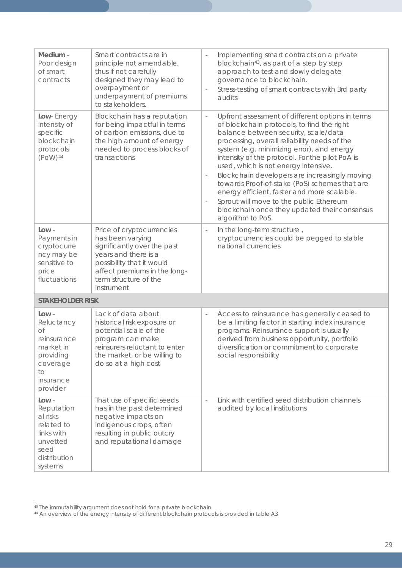| Medium -<br>Poor design<br>of smart<br>contracts                                                              | Smart contracts are in<br>principle not amendable,<br>thus if not carefully<br>designed they may lead to<br>overpayment or<br>underpayment of premiums<br>to stakeholders.                               | Implementing smart contracts on a private<br>$\overline{\phantom{a}}$<br>blockchain <sup>43</sup> , as part of a step by step<br>approach to test and slowly delegate<br>governance to blockchain.<br>Stress-testing of smart contracts with 3rd party<br>audits                                                                                                                                                                                                                                                                                                                                                                                         |
|---------------------------------------------------------------------------------------------------------------|----------------------------------------------------------------------------------------------------------------------------------------------------------------------------------------------------------|----------------------------------------------------------------------------------------------------------------------------------------------------------------------------------------------------------------------------------------------------------------------------------------------------------------------------------------------------------------------------------------------------------------------------------------------------------------------------------------------------------------------------------------------------------------------------------------------------------------------------------------------------------|
| Low-Energy<br>intensity of<br>specific<br>blockchain<br>protocols<br>$(POW)$ <sup>44</sup>                    | Blockchain has a reputation<br>for being impactful in terms<br>of carbon emissions, due to<br>the high amount of energy<br>needed to process blocks of<br>transactions                                   | Upfront assessment of different options in terms<br>$\overline{\phantom{a}}$<br>of blockchain protocols, to find the right<br>balance between security, scale/data<br>processing, overall reliability needs of the<br>system (e.g. minimizing error), and energy<br>intensity of the protocol. For the pilot PoA is<br>used, which is not energy intensive.<br>Blockchain developers are increasingly moving<br>towards Proof-of-stake (PoS) schemes that are<br>energy efficient, faster and more scalable.<br>Sprout will move to the public Ethereum<br>$\overline{\phantom{a}}$<br>blockchain once they updated their consensus<br>algorithm to PoS. |
| $Low -$<br>Payments in<br>cryptocurre<br>ncy may be<br>sensitive to<br>price<br>fluctuations                  | Price of cryptocurrencies<br>has been varying<br>significantly over the past<br>years and there is a<br>possibility that it would<br>affect premiums in the long-<br>term structure of the<br>instrument | In the long-term structure,<br>$\qquad \qquad -$<br>cryptocurrencies could be pegged to stable<br>national currencies                                                                                                                                                                                                                                                                                                                                                                                                                                                                                                                                    |
| <b>STAKEHOLDER RISK</b>                                                                                       |                                                                                                                                                                                                          |                                                                                                                                                                                                                                                                                                                                                                                                                                                                                                                                                                                                                                                          |
| Low -<br>Reluctancy<br>оf<br>reinsurance<br>market in<br>providing<br>coverage<br>to<br>insurance<br>provider | Lack of data about<br>historical risk exposure or<br>potential scale of the<br>program can make<br>reinsurers reluctant to enter<br>the market, or be willing to<br>do so at a high cost                 | Access to reinsurance has generally ceased to<br>$\qquad \qquad -$<br>be a limiting factor in starting index insurance<br>programs. Reinsurance support is usually<br>derived from business opportunity, portfolio<br>diversification or commitment to corporate<br>social responsibility                                                                                                                                                                                                                                                                                                                                                                |
| Low -<br>Reputation<br>al risks<br>related to<br>links with<br>unvetted<br>seed<br>distribution<br>systems    | That use of specific seeds<br>has in the past determined<br>negative impacts on<br>indigenous crops, often<br>resulting in public outcry<br>and reputational damage                                      | Link with certified seed distribution channels<br>$\overline{\phantom{a}}$<br>audited by local institutions                                                                                                                                                                                                                                                                                                                                                                                                                                                                                                                                              |

 $\overline{a}$ 43 The immutability argument does not hold for a private blockchain.

<span id="page-28-1"></span><span id="page-28-0"></span><sup>44</sup> An overview of the energy intensity of different blockchain protocols is provided in table A3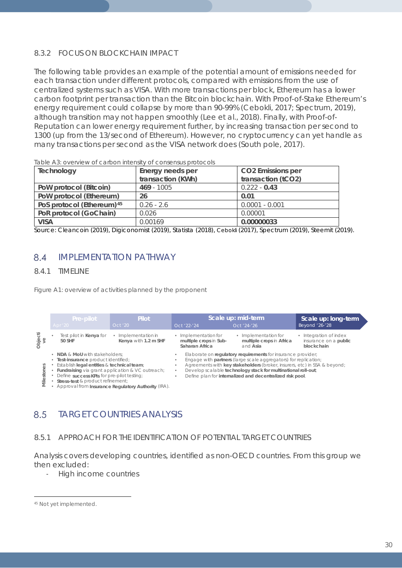## 8.3.2 FOCUS ON BLOCKCHAIN IMPACT

The following table provides an example of the potential amount of emissions needed for each transaction under different protocols, compared with emissions from the use of centralized systems such as VISA. With more transactions per block, Ethereum has a lower carbon footprint per transaction than the Bitcoin blockchain. With Proof-of-Stake Ethereum's energy requirement could collapse by more than 90-99% (Cebokli, 2017; Spectrum, 2019), although transition may not happen smoothly (Lee et al., 2018). Finally, with Proof-of-Reputation can lower energy requirement further, by increasing transaction per second to 1300 (up from the 13/second of Ethereum). However, no cryptocurrency can yet handle as many transactions per second as the VISA network does (South pole, 2017).

| Technology                            | Energy needs per  | <b>CO2</b> Emissions per |
|---------------------------------------|-------------------|--------------------------|
|                                       | transaction (KWh) | transaction (tCO2)       |
| PoW protocol (Bitcoin)                | $469 - 1005$      | $0.222 - 0.43$           |
| PoW protocol (Ethereum)               | 26                | 0.01                     |
| PoS protocol (Ethereum) <sup>45</sup> | $0.26 - 2.6$      | $0.0001 - 0.001$         |
| PoR protocol (GoChain)                | 0.026             | 0.00001                  |
| <b>VISA</b>                           | 0.00169           | 0.00000033               |

*Table A3: overview of carbon intensity of consensus protocols*

Source: Cleancoin (2019), Digiconomist (2019), Statista (2018), Cebokli (2017), Spectrum (2019), Steemit (2019).

### $8.4$ IMPLEMENTATION PATHWAY

## 8.4.1 TIMELINE

*Figure A1: overview of activities planned by the proponent*



## TARGET COUNTRIES ANALYSIS

## 8.5.1 APPROACH FOR THE IDENTIFICATION OF POTENTIAL TARGET COUNTRIES

Analysis covers developing countries, identified as non-OECD countries. From this group we then excluded:

- High income countries

<span id="page-29-0"></span> $\overline{a}$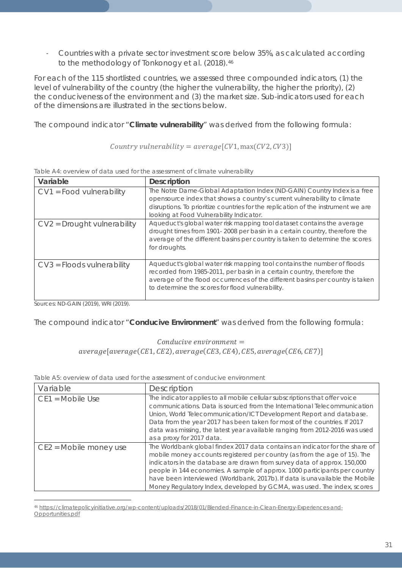- Countries with a private sector investment score below 35%, as calculated according to the methodology of Tonkonogy et al. (2018).<sup>[46](#page-30-0)</sup>

For each of the 115 shortlisted countries, we assessed three compounded indicators, (1) the level of vulnerability of the country (the higher the vulnerability, the higher the priority), (2) the conduciveness of the environment and (3) the market size. Sub-indicators used for each of the dimensions are illustrated in the sections below.

The compound indicator "**Climate vulnerability**" was derived from the following formula:

Country vulnerability =  $average[CV1, max(CV2, CV3)]$ 

| Variable                      | <b>Description</b>                                                                                                                                                                                                                                                                     |
|-------------------------------|----------------------------------------------------------------------------------------------------------------------------------------------------------------------------------------------------------------------------------------------------------------------------------------|
| $CV1 = Food vunderability$    | The Notre Dame-Global Adaptation Index (ND-GAIN) Country Index is a free<br>opensource index that shows a country's current vulnerability to climate<br>disruptions. To prioritize countries for the replication of the instrument we are<br>looking at Food Vulnerability Indicator.  |
| $CV2 = Drought$ vulnerability | Aqueduct's global water risk mapping tool dataset contains the average<br>drought times from 1901-2008 per basin in a certain country, therefore the<br>average of the different basins per country is taken to determine the scores<br>for droughts.                                  |
| $CV3 = Floods vulnerability$  | Aqueduct's global water risk mapping tool contains the number of floods<br>recorded from 1985-2011, per basin in a certain country, therefore the<br>average of the flood occurrences of the different basins per country is taken<br>to determine the scores for flood vulnerability. |

*Table A4: overview of data used for the assessment of climate vulnerability*

Sources: ND-GAIN (2019), WRI (2019).

The compound indicator "**Conducive Environment**" was derived from the following formula:

## $Conductive$  environment  $=$  $average[average(CE1, CE2), average(CE3, CE4), CE5, average(CE6, CE7)]$

*Table A5: overview of data used for the assessment of conducive environment*

| Variable               | Description                                                                                                                                                                                                                                                                                                                                                                                                                                                                  |
|------------------------|------------------------------------------------------------------------------------------------------------------------------------------------------------------------------------------------------------------------------------------------------------------------------------------------------------------------------------------------------------------------------------------------------------------------------------------------------------------------------|
| $CE1 = Mobile Use$     | The indicator applies to all mobile cellular subscriptions that offer voice<br>communications. Data is sourced from the International Telecommunication<br>Union, World Telecommunication/ICT Development Report and database.<br>Data from the year 2017 has been taken for most of the countries. If 2017<br>data was missing, the latest year available ranging from 2012-2016 was used<br>as a proxy for 2017 data.                                                      |
| CE2 = Mobile money use | The Worldbank global findex 2017 data contains an indicator for the share of<br>mobile money accounts registered per country (as from the age of 15). The<br>indicators in the database are drawn from survey data of approx. 150,000<br>people in 144 economies. A sample of approx. 1000 participants per country<br>have been interviewed (Worldbank, 2017b). If data is unavailable the Mobile<br>Money Regulatory Index, developed by GCMA, was used. The index, scores |

<span id="page-30-0"></span> $\overline{a}$ <sup>46</sup> [https://climatepolicyinitiative.org/wp-content/uploads/2018/01/Blended-Finance-in-Clean-Energy-Experiences-and-](https://climatepolicyinitiative.org/wp-content/uploads/2018/01/Blended-Finance-in-Clean-Energy-Experiences-and-Opportunities.pdf)[Opportunities.pdf](https://climatepolicyinitiative.org/wp-content/uploads/2018/01/Blended-Finance-in-Clean-Energy-Experiences-and-Opportunities.pdf)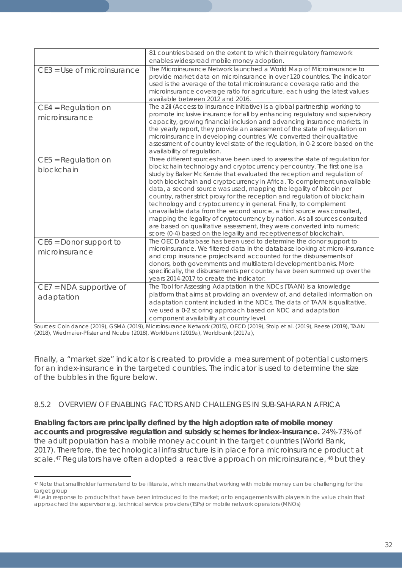|                                            | 81 countries based on the extent to which their regulatory framework                                                                                                                                                                                                                                                                                                                                                                                                                                                                                                                                                                                                                                                                                                                                                                           |
|--------------------------------------------|------------------------------------------------------------------------------------------------------------------------------------------------------------------------------------------------------------------------------------------------------------------------------------------------------------------------------------------------------------------------------------------------------------------------------------------------------------------------------------------------------------------------------------------------------------------------------------------------------------------------------------------------------------------------------------------------------------------------------------------------------------------------------------------------------------------------------------------------|
|                                            | enables widespread mobile money adoption.                                                                                                                                                                                                                                                                                                                                                                                                                                                                                                                                                                                                                                                                                                                                                                                                      |
| CE3 = Use of microinsurance                | The Microinsurance Network launched a World Map of Microinsurance to<br>provide market data on microinsurance in over 120 countries. The indicator<br>used is the average of the total microinsurance coverage ratio and the<br>microinsurance coverage ratio for agriculture, each using the latest values<br>available between 2012 and 2016.                                                                                                                                                                                                                                                                                                                                                                                                                                                                                                |
| $CE4 = Regular$<br>microinsurance          | The a2ii (Access to Insurance Initiative) is a global partnership working to<br>promote inclusive insurance for all by enhancing regulatory and supervisory<br>capacity, growing financial inclusion and advancing insurance markets. In<br>the yearly report, they provide an assessment of the state of regulation on<br>microinsurance in developing countries. We converted their qualitative<br>assessment of country level state of the regulation, in 0-2 score based on the<br>availability of regulation.                                                                                                                                                                                                                                                                                                                             |
| $CE5 = Regular$<br>blockchain              | Three different sources have been used to assess the state of regulation for<br>blockchain technology and cryptocurrency per country. The first one is a<br>study by Baker McKenzie that evaluated the reception and regulation of<br>both blockchain and cryptocurrency in Africa. To complement unavailable<br>data, a second source was used, mapping the legality of bitcoin per<br>country, rather strict proxy for the reception and regulation of blockchain<br>technology and cryptocurrency in general. Finally, to complement<br>unavailable data from the second source, a third source was consulted,<br>mapping the legality of cryptocurrency by nation. As all sources consulted<br>are based on qualitative assessment, they were converted into numeric<br>score (0-4) based on the legality and receptiveness of blockchain. |
| $CE6 = Donor support to$<br>microinsurance | The OECD database has been used to determine the donor support to<br>microinsurance. We filtered data in the database looking at micro-insurance<br>and crop insurance projects and accounted for the disbursements of<br>donors, both governments and multilateral development banks. More<br>specifically, the disbursements per country have been summed up over the<br>years 2014-2017 to create the indicator.                                                                                                                                                                                                                                                                                                                                                                                                                            |
| $CE7 = NDA$ supportive of<br>adaptation    | The Tool for Assessing Adaptation in the NDCs (TAAN) is a knowledge<br>platform that aims at providing an overview of, and detailed information on<br>adaptation content included in the NDCs. The data of TAAN is qualitative,<br>we used a 0-2 scoring approach based on NDC and adaptation<br>component availability at country level.                                                                                                                                                                                                                                                                                                                                                                                                                                                                                                      |

Sources: Coin dance (2019), GSMA (2019), Microinsurance Network (2015), OECD (2019), Stolp et al. (2019), Reese (2019), TAAN (2018), Wiedmaier-Pfister and Ncube (2018), Worldbank (2019a), Worldbank (2017a),

Finally, a "market size" indicator is created to provide a measurement of potential customers for an index-insurance in the targeted countries. The indicator is used to determine the size of the bubbles in the figure below.

## 8.5.2 OVERVIEW OF ENABLING FACTORS AND CHALLENGES IN SUB-SAHARAN AFRICA

**Enabling factors are principally defined by the high adoption rate of mobile money accounts and progressive regulation and subsidy schemes for index-insurance.** 24%-73% of the adult population has a mobile money account in the target countries (World Bank, 2017). Therefore, the technological infrastructure is in place for a microinsurance product at scale.<sup>[47](#page-31-0)</sup> Regulators have often adopted a reactive approach on microinsurance, <sup>[48](#page-31-1)</sup> but they

<span id="page-31-0"></span> $\overline{a}$ <sup>47</sup> Note that smallholder farmers tend to be illiterate, which means that working with mobile money can be challenging for the target group

<span id="page-31-1"></span><sup>48</sup> i.e.in response to products that have been introduced to the market; or to engagements with players in the value chain that approached the supervisor e.g. technical service providers (TSPs) or mobile network operators (MNOs)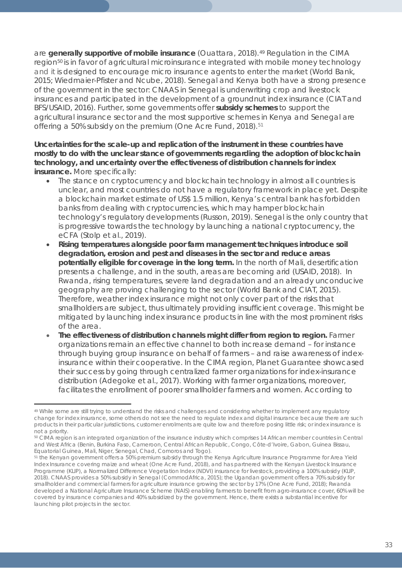are generally supportive of mobile insurance (Ouattara, 2018).<sup>[49](#page-32-0)</sup> Regulation in the CIMA region<sup>[50](#page-32-1)</sup> is in favor of agricultural microinsurance integrated with mobile money technology and it is designed to encourage micro insurance agents to enter the market (World Bank, 2015; Wiedmaier-Pfister and Ncube, 2018). Senegal and Kenya both have a strong presence of the government in the sector: CNAAS in Senegal is underwriting crop and livestock insurances and participated in the development of a groundnut index insurance (CIAT and BFS/USAID, 2016). Further, some governments offer **subsidy schemes** to support the agricultural insurance sector and the most supportive schemes in Kenya and Senegal are offering a 50% subsidy on the premium (One Acre Fund, 2018).<sup>[51](#page-32-2)</sup>

**Uncertainties for the scale-up and replication of the instrument in these countries have mostly to do with the unclear stance of governments regarding the adoption of blockchain technology, and uncertainty over the effectiveness of distribution channels for index insurance.** More specifically:

- The stance on cryptocurrency and blockchain technology in almost all countries is unclear, and most countries do not have a regulatory framework in place yet. Despite a blockchain market estimate of US\$ 1.5 million, Kenya's central bank has forbidden banks from dealing with cryptocurrencies, which may hamper blockchain technology's regulatory developments (Russon, 2019). Senegal is the only country that is progressive towards the technology by launching a national cryptocurrency, the eCFA (Stolp et al., 2019).
- **Rising temperatures alongside poor farm management techniques introduce soil degradation, erosion and pest and diseases in the sector and reduce areas potentially eligible for coverage in the long term.** In the north of Mali, desertification presents a challenge, and in the south, areas are becoming arid (USAID, 2018). In Rwanda, rising temperatures, severe land degradation and an already unconducive geography are proving challenging to the sector (World Bank and CIAT, 2015). Therefore, weather index insurance might not only cover part of the risks that smallholders are subject, thus ultimately providing insufficient coverage. This might be mitigated by launching index insurance products in line with the most prominent risks of the area.
- **The effectiveness of distribution channels might differ from region to region.** Farmer organizations remain an effective channel to both increase demand – for instance through buying group insurance on behalf of farmers – and raise awareness of indexinsurance within their cooperative. In the CIMA region, Planet Guarantee showcased their success by going through centralized farmer organizations for index-insurance distribution (Adegoke et al., 2017). Working with farmer organizations, moreover, facilitates the enrollment of poorer smallholder farmers and women. According to

<span id="page-32-0"></span> $\overline{a}$ <sup>49</sup> While some are still trying to understand the risks and challenges and considering whether to implement any regulatory change for index insurance, some others do not see the need to regulate index and digital insurance because there are such products in their particular jurisdictions, customer enrolments are quite low and therefore posing little risk; or index insurance is not a priority.

<span id="page-32-1"></span><sup>50</sup> CIMA region is an integrated organization of the insurance industry which comprises 14 African member countries in Central and West Africa (Benin, Burkina Faso, Cameroon, Central African Republic, Congo, Côte-d'Ivoire, Gabon, Guinea Bissau, Equatorial Guinea, Mali, Niger, Senegal, Chad, Comoros and Togo).

<span id="page-32-2"></span><sup>51</sup> the Kenyan government offers a 50% premium subsidy through the Kenya Agriculture Insurance Programme for Area Yield Index Insurance covering maize and wheat (One Acre Fund, 2018), and has partnered with the Kenyan Livestock Insurance Programme (KLIP), a Normalized Difference Vegetation Index (NDVI) insurance for livestock, providing a 100% subsidy (KLIP, 2018). CNAAS provides a 50% subsidy in Senegal (CommodAfrica, 2015); the Ugandan government offers a 70% subsidy for smallholder and commercial farmers for agriculture insurance growing the sector by 17% (One Acre Fund, 2018); Rwanda developed a National Agriculture Insurance Scheme (NAIS) enabling farmers to benefit from agro-insurance cover, 60% will be covered by insurance companies and 40% subsidized by the government. Hence, there exists a substantial incentive for launching pilot projects in the sector.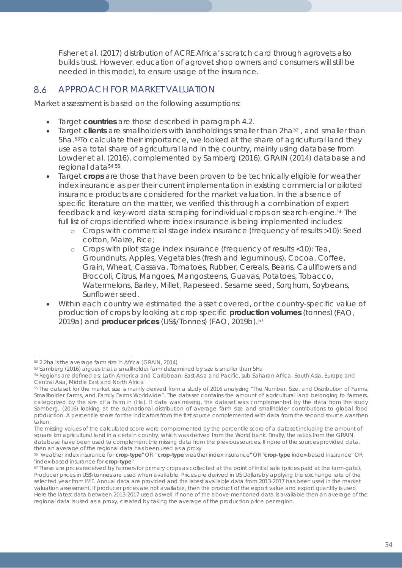Fisher et al. (2017) distribution of ACRE Africa's scratch card through agrovets also builds trust. However, education of agrovet shop owners and consumers will still be needed in this model, to ensure usage of the insurance.

#### 8.6 APPROACH FOR MARKET VALUATION

Market assessment is based on the following assumptions:

- Target **countries** are those described in paragraph 4.2.
- Target **clients** are smallholders with landholdings smaller than 2ha[52](#page-33-0) , and smaller than 5ha.[53T](#page-33-1)o calculate their importance, we looked at the share of agricultural land they use as a total share of agricultural land in the country, mainly using database from Lowder et al. (2016), complemented by Samberg (2016), GRAIN (2014) database and regional data<sup>[54](#page-33-2) [55](#page-33-3)</sup>
- Target **crops** are those that have been proven to be technically eligible for weather index insurance as per their current implementation in existing commercial or piloted insurance products are considered for the market valuation. In the absence of specific literature on the matter, we verified this through a combination of expert feedback and key-word data scraping for individual crops on search-engine.[56](#page-33-4) The full list of crops identified where index insurance is being implemented includes:
	- o Crops with commercial stage index insurance (frequency of results >10): Seed cotton, Maize, Rice;
	- o Crops with pilot stage index insurance (frequency of results <10): Tea, Groundnuts, Apples, Vegetables (fresh and leguminous), Cocoa, Coffee, Grain, Wheat, Cassava, Tomatoes, Rubber, Cereals, Beans, Cauliflowers and Broccoli, Citrus, Mangoes, Mangosteens, Guavas, Potatoes, Tobacco, Watermelons, Barley, Millet, Rapeseed. Sesame seed, Sorghum, Soybeans, Sunflower seed.
- Within each country we estimated the asset covered, or the country-specific value of production of crops by looking at crop specific **production volumes** (tonnes)(FAO, 2019a) and **producer prices** (US\$/Tonnes) (FAO, 2019b).[57](#page-33-5)

 $\overline{a}$ <sup>52</sup> 2.2ha is the average farm size in Africa (GRAIN, 2014)

<span id="page-33-1"></span><span id="page-33-0"></span><sup>53</sup> Samberg (2016) argues that a smallholder farm determined by size is smaller than 5Ha

<span id="page-33-2"></span><sup>54</sup> Regions are defined as: Latin America and Caribbean, East Asia and Pacific, sub-Saharan Africa, South Asia, Europe and Central Asia, Middle East and North Africa

<span id="page-33-3"></span><sup>55</sup> The dataset for the market size is mainly derived from a study of 2016 analyzing "The Number, Size, and Distribution of Farms, Smallholder Farms, and Family Farms Worldwide". The dataset contains the amount of agricultural land belonging to farmers, categorized by the size of a farm in (Ha). If data was missing, the dataset was complemented by the data from the study Samberg, (2016) looking at the subnational distribution of average farm size and smallholder contributions to global food production. A percentile score for the indicators from the first source complemented with data from the second source was then taken.

The missing values of the calculated score were complemented by the percentile score of a dataset including the amount of square km agricultural land in a certain country, which was derived from the World bank. Finally, the ratios from the GRAIN database have been used to complement the missing data from the previous sources. If none of the sources provided data, then an average of the regional data has been used as a proxy

<span id="page-33-4"></span><sup>56</sup> "weather index insurance for **crop-type**" OR " **crop-type** weather index insurance" OR "**crop-type** index-based insurance" OR "index-based insurance for **crop-type**"

<span id="page-33-5"></span><sup>57</sup> These are prices received by farmers for primary crops as collected at the point of initial sale (prices paid at the farm-gate). Producer prices in US\$/tonnes are used when available. Prices are derived in US Dollars by applying the exchange rate of the selected year from IMF. Annual data are provided and the latest available data from 2013-2017 has been used in the market valuation assessment. If producer prices are not available, then the product of the export value and export quantity is used. Here the latest data between 2013-2017 used as well. If none of the above-mentioned data is available then an average of the regional data is used as a proxy, created by taking the average of the production price per region.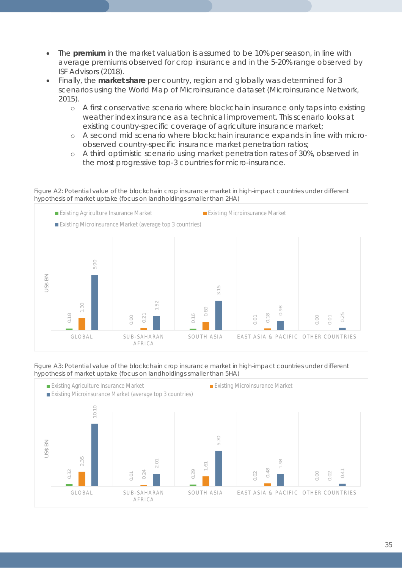- The **premium** in the market valuation is assumed to be 10% per season, in line with average premiums observed for crop insurance and in the 5-20% range observed by ISF Advisors (2018).
- Finally, the **market share** per country, region and globally was determined for 3 scenarios using the World Map of Microinsurance dataset (Microinsurance Network, 2015).
	- o A first conservative scenario where blockchain insurance only taps into existing weather index insurance as a technical improvement. This scenario looks at existing country-specific coverage of agriculture insurance market;
	- o A second mid scenario where blockchain insurance expands in line with microobserved country-specific insurance market penetration ratios;
	- o A third optimistic scenario using market penetration rates of 30%, observed in the most progressive top-3 countries for micro-insurance.

*Figure A2:* Potential value of the blockchain crop insurance market in high-impact countries under different hypothesis of market uptake *(focus on landholdings smaller than 2HA)*



*Figure A3: Potential value of the blockchain crop insurance market in high-impact countries under different* 

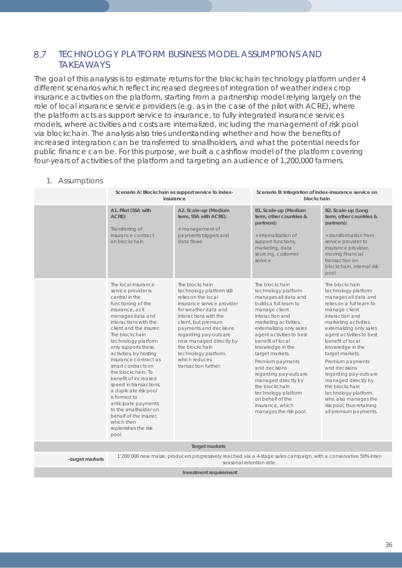### 8.7 TECHNOLOGY PLATFORM BUSINESS MODEL ASSUMPTIONS AND TAKEAWAYS

The goal of this analysis is to estimate returns for the blockchain technology platform under 4 different scenarios which reflect increased degrees of integration of weather index crop insurance activities on the platform, starting from a partnership model relying largely on the role of local insurance service providers (e.g. as in the case of the pilot with ACRE), where the platform acts as support service to insurance, to fully integrated insurance services models, where activities and costs are internalized, including the management of risk pool via blockchain. The analysis also tries understanding whether and how the benefits of increased integration can be transferred to smallholders, and what the potential needs for public finance can be. For this purpose, we built a cashflow model of the platform covering four-years of activities of the platform and targeting an audience of 1,200,000 farmers.

### 1. Assumptions

|                        | Scenario A: Blockchain as support service to index-<br>insurance                                                                                                                                                                                                                                                                                                                                                                                                                                                                                                  |                                                                                                                                                                                                                                                                                                                                            | Scenario B: Integration of index-insurance service on<br>blockchain                                                                                                                                                                                                                                                                                                                                                                                                     |                                                                                                                                                                                                                                                                                                                                                                                                                                                                                         |
|------------------------|-------------------------------------------------------------------------------------------------------------------------------------------------------------------------------------------------------------------------------------------------------------------------------------------------------------------------------------------------------------------------------------------------------------------------------------------------------------------------------------------------------------------------------------------------------------------|--------------------------------------------------------------------------------------------------------------------------------------------------------------------------------------------------------------------------------------------------------------------------------------------------------------------------------------------|-------------------------------------------------------------------------------------------------------------------------------------------------------------------------------------------------------------------------------------------------------------------------------------------------------------------------------------------------------------------------------------------------------------------------------------------------------------------------|-----------------------------------------------------------------------------------------------------------------------------------------------------------------------------------------------------------------------------------------------------------------------------------------------------------------------------------------------------------------------------------------------------------------------------------------------------------------------------------------|
|                        | A1. Pilot (SSA with<br>ACRE):<br>Transferring of<br>insurance contract<br>on blockchain                                                                                                                                                                                                                                                                                                                                                                                                                                                                           | A2. Scale-up (Medium<br>term, SSA with ACRE):<br>+ management of<br>payments triggers and<br>data flows                                                                                                                                                                                                                                    | B1. Scale-up (Medium<br>term, other countries &<br>partners):<br>+ internalization of<br>support functions,<br>marketing, data<br>sourcing, customer<br>service                                                                                                                                                                                                                                                                                                         | B2. Scale-up (Long<br>term, other countries &<br>partners):<br>+ transformation from<br>service provider to<br>insurance provider,<br>moving financial<br>transaction on<br>blockchain, internal risk<br>pool                                                                                                                                                                                                                                                                           |
|                        | The local insurance<br>service provider is<br>central in the<br>functioning of the<br>insurance, as it<br>manages data and<br>interactions with the<br>client and the insurer.<br>The blockchain<br>technology platform<br>only supports these<br>activities, by hosting<br>insurance contract as<br>smart contracts on<br>the blockchain. To<br>benefit of increased<br>speed in transactions,<br>a duplicate risk pool<br>is formed to<br>anticipate payments<br>to the smallholder on<br>behalf of the insurer,<br>which then<br>replenishes the risk<br>pool. | The blockchain<br>technology platform still<br>relies on the local<br>insurance service provider<br>for weather data and<br>interactions with the<br>client, but premium<br>payments and decisions<br>regarding pay-outs are<br>now managed directly by<br>the blockchain<br>technology platform,<br>which reduces<br>transaction further. | The blockchain<br>technology platform<br>manages all data and<br>builds a full team to<br>manage client<br>interaction and<br>marketing activities,<br>externalizing only sales<br>agent activities to best<br>benefit of local<br>knowledge in the<br>target markets.<br>Premium payments<br>and decisions<br>regarding pay-outs are<br>managed directly by<br>the blockchain<br>technology platform<br>on behalf of the<br>insurance, which<br>manages the risk pool. | The blockchain<br>technology platform<br>manages all data and<br>relies on a full team to<br>manage client<br>interaction and<br>marketing activities,<br>externalizing only sales<br>agent activities to best<br>benefit of local<br>knowledge in the<br>target markets.<br>Premium payments<br>and decisions<br>regarding pay-outs are<br>managed directly by<br>the blockchain<br>technology platform,<br>who also manages the<br>risk pool, thus retaining<br>all premium payments. |
|                        |                                                                                                                                                                                                                                                                                                                                                                                                                                                                                                                                                                   | <b>Target markets</b>                                                                                                                                                                                                                                                                                                                      |                                                                                                                                                                                                                                                                                                                                                                                                                                                                         |                                                                                                                                                                                                                                                                                                                                                                                                                                                                                         |
| -target markets        |                                                                                                                                                                                                                                                                                                                                                                                                                                                                                                                                                                   | 1'200'000 new maize, producers progressively reached via a 4-stage sales campaign, with a conservative 50% inter-<br>seasonal retention rate.                                                                                                                                                                                              |                                                                                                                                                                                                                                                                                                                                                                                                                                                                         |                                                                                                                                                                                                                                                                                                                                                                                                                                                                                         |
| Investment requirement |                                                                                                                                                                                                                                                                                                                                                                                                                                                                                                                                                                   |                                                                                                                                                                                                                                                                                                                                            |                                                                                                                                                                                                                                                                                                                                                                                                                                                                         |                                                                                                                                                                                                                                                                                                                                                                                                                                                                                         |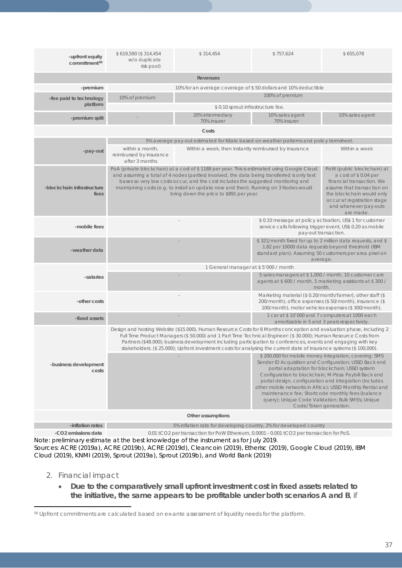| -upfront equity<br>commitment <sup>58</sup> | \$619,590 (\$314,454)<br>w/o duplicate<br>risk pool)                                                                                                                                                                                                                                                                                                                                                                                                                                                                               | \$314,454                                                                                                                                                                                                                                                                                                                                                                                                                                                                                                                                                                                                                             | \$757,624                                                                                                                                                                  | \$655,078       |  |  |  |  |  |  |
|---------------------------------------------|------------------------------------------------------------------------------------------------------------------------------------------------------------------------------------------------------------------------------------------------------------------------------------------------------------------------------------------------------------------------------------------------------------------------------------------------------------------------------------------------------------------------------------|---------------------------------------------------------------------------------------------------------------------------------------------------------------------------------------------------------------------------------------------------------------------------------------------------------------------------------------------------------------------------------------------------------------------------------------------------------------------------------------------------------------------------------------------------------------------------------------------------------------------------------------|----------------------------------------------------------------------------------------------------------------------------------------------------------------------------|-----------------|--|--|--|--|--|--|
|                                             |                                                                                                                                                                                                                                                                                                                                                                                                                                                                                                                                    | Revenues                                                                                                                                                                                                                                                                                                                                                                                                                                                                                                                                                                                                                              |                                                                                                                                                                            |                 |  |  |  |  |  |  |
| -premium                                    | 10% for an average coverage of \$50 dollars and 10% deductible                                                                                                                                                                                                                                                                                                                                                                                                                                                                     |                                                                                                                                                                                                                                                                                                                                                                                                                                                                                                                                                                                                                                       |                                                                                                                                                                            |                 |  |  |  |  |  |  |
| -fee paid to technology                     | 100% of premium<br>10% of premium                                                                                                                                                                                                                                                                                                                                                                                                                                                                                                  |                                                                                                                                                                                                                                                                                                                                                                                                                                                                                                                                                                                                                                       |                                                                                                                                                                            |                 |  |  |  |  |  |  |
| platform                                    |                                                                                                                                                                                                                                                                                                                                                                                                                                                                                                                                    | \$0.10 sprout infrastructure fee.                                                                                                                                                                                                                                                                                                                                                                                                                                                                                                                                                                                                     |                                                                                                                                                                            |                 |  |  |  |  |  |  |
| -premium split                              |                                                                                                                                                                                                                                                                                                                                                                                                                                                                                                                                    | 20% intermediary<br>70% insurer                                                                                                                                                                                                                                                                                                                                                                                                                                                                                                                                                                                                       | 10% sales agent<br>70% insurer                                                                                                                                             | 10% sales agent |  |  |  |  |  |  |
|                                             |                                                                                                                                                                                                                                                                                                                                                                                                                                                                                                                                    | Costs                                                                                                                                                                                                                                                                                                                                                                                                                                                                                                                                                                                                                                 |                                                                                                                                                                            |                 |  |  |  |  |  |  |
|                                             |                                                                                                                                                                                                                                                                                                                                                                                                                                                                                                                                    | 5% average pay-out estimated for Kitale based on weather patterns and policy termsheet.                                                                                                                                                                                                                                                                                                                                                                                                                                                                                                                                               |                                                                                                                                                                            |                 |  |  |  |  |  |  |
| -pay-out                                    | within a month,<br>reimbursed by insurance<br>after 3 months                                                                                                                                                                                                                                                                                                                                                                                                                                                                       | Within a week, then instantly reimbursed by insurance                                                                                                                                                                                                                                                                                                                                                                                                                                                                                                                                                                                 |                                                                                                                                                                            | Within a week   |  |  |  |  |  |  |
| -blockchain infrastructure<br>fees          |                                                                                                                                                                                                                                                                                                                                                                                                                                                                                                                                    | PoA (private blockchain) at a cost of \$1188 per year. This is estimated using Google Cloud<br>PoW (public blockchain) at<br>and assuming a total of 4 nodes (parties) involved, the data being transferred is only text<br>a cost of \$0.04 per<br>bases so very low costs occur, and the cost includes the suggested monitoring and<br>financial transaction. We<br>maintaining costs (e.g. to install an update now and then). Running on 3 Nodes would<br>assume that transaction on<br>bring down the price to \$891 per year.<br>the blockchain would only<br>occur at registration stage<br>and whenever pay-outs<br>are made. |                                                                                                                                                                            |                 |  |  |  |  |  |  |
| -mobile fees                                |                                                                                                                                                                                                                                                                                                                                                                                                                                                                                                                                    |                                                                                                                                                                                                                                                                                                                                                                                                                                                                                                                                                                                                                                       | \$0.10 message at policy activation, US\$1 for customer<br>service calls following trigger event, US\$ 0.20 as mobile<br>pay-out transaction.                              |                 |  |  |  |  |  |  |
| -weather data                               |                                                                                                                                                                                                                                                                                                                                                                                                                                                                                                                                    | \$321/month fixed for up to 2 million data requests, and \$<br>1.82 per 10000 data requests beyond threshold (IBM<br>standard plan). Assuming 50 customers per area pixel on<br>average.                                                                                                                                                                                                                                                                                                                                                                                                                                              |                                                                                                                                                                            |                 |  |  |  |  |  |  |
|                                             |                                                                                                                                                                                                                                                                                                                                                                                                                                                                                                                                    | 1 General manager at \$5'000 / month                                                                                                                                                                                                                                                                                                                                                                                                                                                                                                                                                                                                  |                                                                                                                                                                            |                 |  |  |  |  |  |  |
| -salaries                                   |                                                                                                                                                                                                                                                                                                                                                                                                                                                                                                                                    |                                                                                                                                                                                                                                                                                                                                                                                                                                                                                                                                                                                                                                       | 5 sales managers at \$1,000 / month, 10 customer care<br>agents at \$600 / month, 5 marketing assistants at \$300 /<br>month.                                              |                 |  |  |  |  |  |  |
| -other costs                                |                                                                                                                                                                                                                                                                                                                                                                                                                                                                                                                                    |                                                                                                                                                                                                                                                                                                                                                                                                                                                                                                                                                                                                                                       | Marketing material (\$0.20/month/farmer), other staff (\$<br>200/month), office expenses (\$50/month), insurance (\$<br>100/month), motor vehicles expenses (\$300/month). |                 |  |  |  |  |  |  |
| -fixed assets                               |                                                                                                                                                                                                                                                                                                                                                                                                                                                                                                                                    |                                                                                                                                                                                                                                                                                                                                                                                                                                                                                                                                                                                                                                       | 1 car at \$10'000 and 7 computers at 1000 each                                                                                                                             |                 |  |  |  |  |  |  |
|                                             | amortizable in 5 and 3 years respectively.<br>Design and hosting Website (\$15.000), Human Resource Costs for 8 Months conception and evaluation phase, including 2<br>Full Time Product Managers (\$50.000) and 1 Part Time Technical Engineer: (\$30.000); Human Resource Costs from<br>Partners (\$48.000); business development including participation to conferences, events and engaging with key<br>stakeholders. (\$ 25.000); Upfront investment costs for analysing the current state of insurance systems (\$ 100,000). |                                                                                                                                                                                                                                                                                                                                                                                                                                                                                                                                                                                                                                       |                                                                                                                                                                            |                 |  |  |  |  |  |  |
| -business development<br>costs              |                                                                                                                                                                                                                                                                                                                                                                                                                                                                                                                                    | \$200,000 for mobile money integration, covering: SMS<br>Sender ID Acquisition and Configuration; USSD Back end<br>portal adaptation for blockchain; USSD system<br>Configuration to blockchain; M-Pesa Paybill Back end<br>portal design, configuration and integration (includes<br>other mobile networks in Africa); USSD Monthly Rental and<br>maintenance fee; Shortcode monthly fees (balance<br>query); Unique Code Validation; Bulk SMS's; Unique<br>Code/Token generation.                                                                                                                                                   |                                                                                                                                                                            |                 |  |  |  |  |  |  |
|                                             |                                                                                                                                                                                                                                                                                                                                                                                                                                                                                                                                    | Other assumptions                                                                                                                                                                                                                                                                                                                                                                                                                                                                                                                                                                                                                     |                                                                                                                                                                            |                 |  |  |  |  |  |  |
| -inflation rates                            |                                                                                                                                                                                                                                                                                                                                                                                                                                                                                                                                    | 5% inflation rate for developing country, 2% for developed country                                                                                                                                                                                                                                                                                                                                                                                                                                                                                                                                                                    |                                                                                                                                                                            |                 |  |  |  |  |  |  |

**-CO2 emissions data** 0.01 tCO2 per transaction for PoW Ethereum, 0.0001 - 0.001 tCO2 per transaction for PoS. Note: preliminary estimate at the best knowledge of the instrument as for July 2019.

Sources: ACRE (2019a), ACRE (2019b), ACRE (2019d), Cleancoin (2019), Etherisc (2019), Google Cloud (2019), IBM Cloud (2019), KNMI (2019), Sprout (2019a), Sprout (2019b), and World Bank (2019)

### 2. Financial impact

 $\overline{a}$ 

• **Due to the comparatively small upfront investment cost in fixed assets related to the initiative, the same appears to be profitable under both scenarios A and B**, if

<span id="page-36-0"></span><sup>58</sup> Upfront commitments are calculated based on ex-ante assessment of liquidity needs for the platform.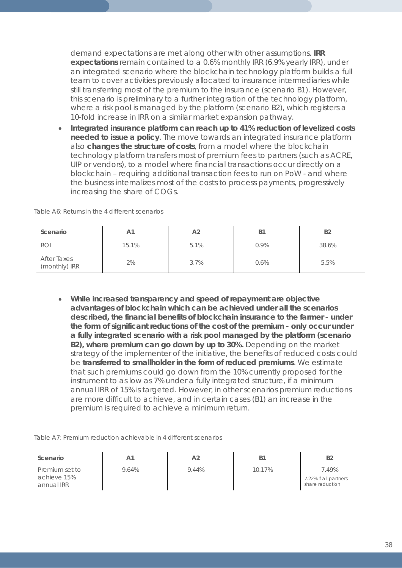demand expectations are met along other with other assumptions. **IRR expectations** remain contained to a 0.6% monthly IRR (6.9% yearly IRR), under an integrated scenario where the blockchain technology platform builds a full team to cover activities previously allocated to insurance intermediaries while still transferring most of the premium to the insurance (scenario B1). However, this scenario is preliminary to a further integration of the technology platform, where a risk pool is managed by the platform (scenario B2), which registers a 10-fold increase in IRR on a similar market expansion pathway.

• **Integrated insurance platform can reach up to 41% reduction of levelized costs needed to issue a policy**. The move towards an integrated insurance platform also **changes the structure of costs**, from a model where the blockchain technology platform transfers most of premium fees to partners (such as ACRE, UIP or vendors), to a model where financial transactions occur directly on a blockchain – requiring additional transaction fees to run on PoW - and where the business internalizes most of the costs to process payments, progressively increasing the share of COGs.

| Scenario                            | Α1    | A <sub>2</sub> | <b>B</b> 1 | <b>B2</b> |
|-------------------------------------|-------|----------------|------------|-----------|
| <b>ROI</b>                          | 15.1% | 5.1%           | 0.9%       | 38.6%     |
| <b>After Taxes</b><br>(monthly) IRR | 2%    | 3.7%           | 0.6%       | 5.5%      |

*Table A6: Returns in the 4 different scenarios*

• **While increased transparency and speed of repayment are objective advantages of blockchain which can be achieved under all the scenarios described, the financial benefits of blockchain insurance to the farmer - under the form of significant reductions of the cost of the premium - only occur under a fully integrated scenario with a risk pool managed by the platform (scenario B2), where premium can go down by up to 30%.** Depending on the market strategy of the implementer of the initiative, the benefits of reduced costs could be **transferred to smallholder in the form of reduced premiums**. We estimate that such premiums could go down from the 10% currently proposed for the instrument to as low as 7% under a fully integrated structure, if a minimum annual IRR of 15% is targeted. However, in other scenarios premium reductions are more difficult to achieve, and in certain cases (B1) an increase in the premium is required to achieve a minimum return.

|  | Table A7: Premium reduction achievable in 4 different scenarios |
|--|-----------------------------------------------------------------|
|--|-----------------------------------------------------------------|

| Scenario                                    | Α1    | A <sub>2</sub> |        | B <sub>2</sub>                                    |
|---------------------------------------------|-------|----------------|--------|---------------------------------------------------|
| Premium set to<br>achieve 15%<br>annual IRR | 9.64% | 9.44%          | 10.17% | 7.49%<br>7.22% if all partners<br>share reduction |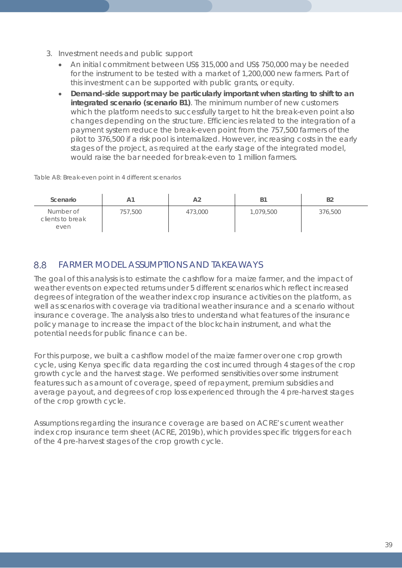- 3. Investment needs and public support
	- An initial commitment between US\$ 315,000 and US\$ 750,000 may be needed for the instrument to be tested with a market of 1,200,000 new farmers. Part of this investment can be supported with public grants, or equity.
	- **Demand-side support may be particularly important when starting to shift to an integrated scenario (scenario B1)**. The minimum number of new customers which the platform needs to successfully target to hit the break-even point also changes depending on the structure. Efficiencies related to the integration of a payment system reduce the break-even point from the 757,500 farmers of the pilot to 376,500 if a risk pool is internalized. However, increasing costs in the early stages of the project, as required at the early stage of the integrated model, would raise the bar needed for break-even to 1 million farmers.

*Table A8: Break-even point in 4 different scenarios*

| Scenario                              | A1      | A2      | <b>B1</b> | <b>B2</b> |
|---------------------------------------|---------|---------|-----------|-----------|
| Number of<br>clients to break<br>even | 757,500 | 473,000 | 1,079,500 | 376,500   |

#### 8.8 FARMER MODEL ASSUMPTIONS AND TAKEAWAYS

The goal of this analysis is to estimate the cashflow for a maize farmer, and the impact of weather events on expected returns under 5 different scenarios which reflect increased degrees of integration of the weather index crop insurance activities on the platform, as well as scenarios with coverage via traditional weather insurance and a scenario without insurance coverage. The analysis also tries to understand what features of the insurance policy manage to increase the impact of the blockchain instrument, and what the potential needs for public finance can be.

For this purpose, we built a cashflow model of the maize farmer over one crop growth cycle, using Kenya specific data regarding the cost incurred through 4 stages of the crop growth cycle and the harvest stage. We performed sensitivities over some instrument features such as amount of coverage, speed of repayment, premium subsidies and average payout, and degrees of crop loss experienced through the 4 pre-harvest stages of the crop growth cycle.

Assumptions regarding the insurance coverage are based on ACRE's current weather index crop insurance term sheet (ACRE, 2019b), which provides specific triggers for each of the 4 pre-harvest stages of the crop growth cycle.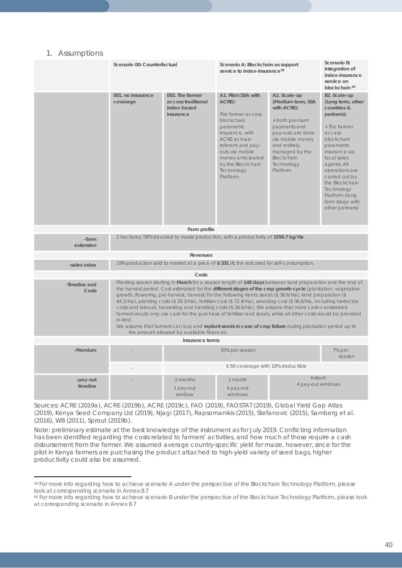### 1. Assumptions

 $\overline{a}$ 

| 10001110               |                               |                                                                                                                                                                                                                                                                                                                                                                                                                                                                                                                                                                                                                                                                                                                                                                                                                                              |                                                                                                                                                                                                                               |                                                                                                                                                                                                       |                                                                                                                                                                                                                                                                                                 |  |  |
|------------------------|-------------------------------|----------------------------------------------------------------------------------------------------------------------------------------------------------------------------------------------------------------------------------------------------------------------------------------------------------------------------------------------------------------------------------------------------------------------------------------------------------------------------------------------------------------------------------------------------------------------------------------------------------------------------------------------------------------------------------------------------------------------------------------------------------------------------------------------------------------------------------------------|-------------------------------------------------------------------------------------------------------------------------------------------------------------------------------------------------------------------------------|-------------------------------------------------------------------------------------------------------------------------------------------------------------------------------------------------------|-------------------------------------------------------------------------------------------------------------------------------------------------------------------------------------------------------------------------------------------------------------------------------------------------|--|--|
|                        | Scenario 00: Counterfactual   |                                                                                                                                                                                                                                                                                                                                                                                                                                                                                                                                                                                                                                                                                                                                                                                                                                              | Scenario A: Blockchain as support<br>service to index-insurance <sup>59</sup>                                                                                                                                                 | Scenario B:<br>Integration of<br>index-insurance<br>service on<br>blockchain <sup>60</sup>                                                                                                            |                                                                                                                                                                                                                                                                                                 |  |  |
|                        | 001. no insurance<br>coverage | 002. The farmer<br>access traditional<br>index-based<br>insurance                                                                                                                                                                                                                                                                                                                                                                                                                                                                                                                                                                                                                                                                                                                                                                            | A1. Pilot (SSA with<br>ACRE):<br>The farmer access<br>blockchain<br>parametric<br>insurance, with<br>ACRE as main<br>referent and pay-<br>outs via mobile<br>money anticipated<br>by the Blockchain<br>Technology<br>Platform | A2. Scale-up<br>(Medium term, SSA<br>with ACRE):<br>+ both premium<br>payments and<br>pay-outs are done<br>via mobile money<br>and entirely<br>managed by the<br>Blockchain<br>Technology<br>Platform | B2. Scale-up<br>(Long term, other<br>countries &<br>partners):<br>+ The farmer<br>access<br>blockchain<br>parametric<br>insurance via<br>local sales<br>agents. All<br>operations are<br>carried out by<br>the Blockchain<br>Technology<br>Platform (long<br>term stage with<br>other partners) |  |  |
|                        |                               | Farm profile                                                                                                                                                                                                                                                                                                                                                                                                                                                                                                                                                                                                                                                                                                                                                                                                                                 |                                                                                                                                                                                                                               |                                                                                                                                                                                                       |                                                                                                                                                                                                                                                                                                 |  |  |
| -farm<br>extension     |                               | 2 hectares, 58% devoted to maize production, with a productivity of 1556.7 kg/Ha.                                                                                                                                                                                                                                                                                                                                                                                                                                                                                                                                                                                                                                                                                                                                                            |                                                                                                                                                                                                                               |                                                                                                                                                                                                       |                                                                                                                                                                                                                                                                                                 |  |  |
|                        |                               | Revenues                                                                                                                                                                                                                                                                                                                                                                                                                                                                                                                                                                                                                                                                                                                                                                                                                                     |                                                                                                                                                                                                                               |                                                                                                                                                                                                       |                                                                                                                                                                                                                                                                                                 |  |  |
| -sales value           |                               | 19% production sold to market at a price of \$331 /t, the rest used for self-consumption.                                                                                                                                                                                                                                                                                                                                                                                                                                                                                                                                                                                                                                                                                                                                                    |                                                                                                                                                                                                                               |                                                                                                                                                                                                       |                                                                                                                                                                                                                                                                                                 |  |  |
|                        |                               | Costs                                                                                                                                                                                                                                                                                                                                                                                                                                                                                                                                                                                                                                                                                                                                                                                                                                        |                                                                                                                                                                                                                               |                                                                                                                                                                                                       |                                                                                                                                                                                                                                                                                                 |  |  |
| -Timeline and<br>Costs | in-kind.                      | Planting season starting in March for a season length of 148 days between land preparation and the end of<br>the harvest period. Cost estimated for the different stages of the crop growth cycle (plantation, vegetative<br>growth, flowering, pre-harvest, harvest) for the following items: seeds (\$36.6/Ha), land preparation (\$<br>44.2/Ha), planting costs (\$ 20.3/Ha), fertilizer cost (\$ 72.4/Ha), weeding cost (\$ 36.6/Ha, including herbicide<br>costs and labour), harvesting and handling costs (\$ 36.6/Ha). We assume that more cash-constrained<br>farmers would only use cash for the purchase of fertilizer and seeds, while all other costs would be provided<br>We assume that farmers can buy and replant seeds in case of crop failure during plantation period up to<br>the amount allowed by available finances. |                                                                                                                                                                                                                               |                                                                                                                                                                                                       |                                                                                                                                                                                                                                                                                                 |  |  |
|                        |                               | Insurance terms                                                                                                                                                                                                                                                                                                                                                                                                                                                                                                                                                                                                                                                                                                                                                                                                                              |                                                                                                                                                                                                                               |                                                                                                                                                                                                       |                                                                                                                                                                                                                                                                                                 |  |  |
| -Premium               |                               |                                                                                                                                                                                                                                                                                                                                                                                                                                                                                                                                                                                                                                                                                                                                                                                                                                              | 10% per season                                                                                                                                                                                                                |                                                                                                                                                                                                       | 7% per<br>season                                                                                                                                                                                                                                                                                |  |  |
|                        |                               |                                                                                                                                                                                                                                                                                                                                                                                                                                                                                                                                                                                                                                                                                                                                                                                                                                              | \$50 coverage with 10% deductible                                                                                                                                                                                             |                                                                                                                                                                                                       |                                                                                                                                                                                                                                                                                                 |  |  |
| -pay-out<br>timeline   |                               | 3 months<br>1 pay-out<br>window                                                                                                                                                                                                                                                                                                                                                                                                                                                                                                                                                                                                                                                                                                                                                                                                              | 1 month<br>4 pay-out<br>windows                                                                                                                                                                                               | Instant<br>4 pay-out windows                                                                                                                                                                          |                                                                                                                                                                                                                                                                                                 |  |  |

Sources: ACRE (2019a), ACRE (2019b), ACRE (2019c), FAO (2019), FAOSTAT (2019), Global Yield Gap Atlas (2019), Kenya Seed Company Ltd (2019), Njagi (2017), Rapsomanikis (2015), Stefanovic (2015), Samberg et al. (2016), WB (2011), Sprout (2019b).

Note: preliminary estimate at the best knowledge of the instrument as for July 2019. Conflicting information has been identified regarding the costs related to farmers' activities, and how much of those require a cash disbursement from the farmer. We assumed average country-specific yield for maize, however, since for the pilot in Kenya farmers are purchasing the product attached to high-yield variety of seed bags, higher productivity could also be assumed.

<span id="page-39-0"></span><sup>&</sup>lt;sup>59</sup> For more info regarding how to achieve scenario A under the perspective of the Blockchain Technology Platform, please look at corresponding scenario in Annex 8.7

<span id="page-39-1"></span><sup>&</sup>lt;sup>60</sup> For more info regarding how to achieve scenario B under the perspective of the Blockchain Technology Platform, please look at corresponding scenario in Annex 8.7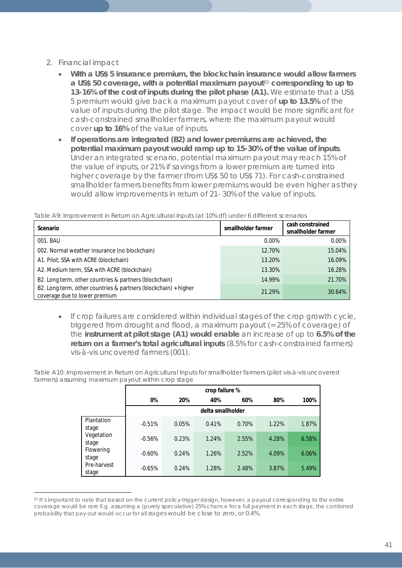## 2. Financial impact

- **With a US\$ 5 insurance premium, the blockchain insurance would allow farmers a US\$ 50 coverage, with a potential maximum payout**[61](#page-40-0) **corresponding to up to 13-16% of the cost of inputs during the pilot phase (A1).** We estimate that a US\$ 5 premium would give back a maximum payout cover of **up to 13.5%** of the value of inputs during the pilot stage. The impact would be more significant for cash-constrained smallholder farmers, where the maximum payout would cover **up to 16%** of the value of inputs.
- **If operations are integrated (B2) and lower premiums are achieved, the potential maximum payout would ramp up to 15-30% of the value of inputs**. Under an integrated scenario, potential maximum payout may reach 15% of the value of inputs, or 21% if savings from a lower premium are turned into higher coverage by the farmer (from US\$ 50 to US\$ 71). For cash-constrained smallholder farmers benefits from lower premiums would be even higher as they would allow improvements in return of 21- 30% of the value of inputs.

*Table A9: Improvement in Return on Agricultural Inputs (at 10% df) under 6 different scenarios*

| Scenario                                                                                         | smallholder farmer | cash constrained<br>smallholder farmer |
|--------------------------------------------------------------------------------------------------|--------------------|----------------------------------------|
| 001. BAU                                                                                         | $0.00\%$           | 0.00%                                  |
| 002. Normal weather insurance (no blockchain)                                                    | 12.70%             | 15.04%                                 |
| A1. Pilot, SSA with ACRE (blockchain)                                                            | 13.20%             | 16.09%                                 |
| A2. Medium term, SSA with ACRE (blockchain)                                                      | 13.30%             | 16.28%                                 |
| B2. Long term, other countries & partners (blockchain)                                           | 14.99%             | 21.70%                                 |
| B2. Long term, other countries & partners (blockchain) + higher<br>coverage due to lower premium | 21.29%             | 30.64%                                 |

• If crop failures are considered within individual stages of the crop growth cycle, triggered from drought and flood, a maximum payout (= 25% of coverage) of the **instrument at pilot stage (A1) would enable** an increase of up to **6.5% of the return on a farmer's total agricultural inputs** (8.5% for cash-constrained farmers) vis-à-vis uncovered farmers (001).

*Table A10: Improvement in Return on Agricultural Inputs for smallholder farmers (pilot vis-à-vis uncovered farmers) assuming maximum payout within crop stage*

|                      | crop failure %    |       |       |       |       |       |  |
|----------------------|-------------------|-------|-------|-------|-------|-------|--|
|                      | 0%                | 20%   | 40%   | 60%   | 80%   | 100%  |  |
|                      | delta smallholder |       |       |       |       |       |  |
| Plantation<br>stage  | $-0.51%$          | 0.05% | 0.41% | 0.70% | 1.22% | 1.87% |  |
| Vegetation<br>stage  | $-0.56%$          | 0.23% | 1.24% | 2.55% | 4.28% | 6.58% |  |
| Flowering<br>stage   | $-0.60%$          | 0.24% | 1.26% | 2.52% | 4.09% | 6.06% |  |
| Pre-harvest<br>stage | $-0.65%$          | 0.24% | 1.28% | 2.48% | 3.87% | 5.49% |  |

<span id="page-40-0"></span> $\overline{a}$ <sup>61</sup> It's important to note that based on the current policy-trigger design, however, a payout corresponding to the entire coverage would be rare E.g. assuming a (purely speculative) 25% chance for a full payment in each stage, the combined probability that pay-out would occur for all stages would be close to zero, or 0.4%.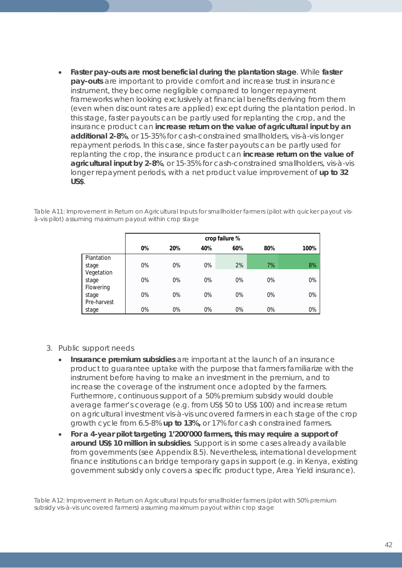• **Faster pay-outs are most beneficial during the plantation stage**. While **faster pay-outs** are important to provide comfort and increase trust in insurance instrument, they become negligible compared to longer repayment frameworks when looking exclusively at financial benefits deriving from them (even when discount rates are applied) except during the plantation period. In this stage, faster payouts can be partly used for replanting the crop, and the insurance product can **increase return on the value of agricultural input by an additional 2-8%**, or 15-35% for cash-constrained smallholders, vis-à-vis longer repayment periods. In this case, since faster payouts can be partly used for replanting the crop, the insurance product can **increase return on the value of agricultural input by 2-8%**, or 15-35% for cash-constrained smallholders, vis-à-vis longer repayment periods, with a net product value improvement of **up to 32 US\$**.

*Table A11: Improvement in Return on Agricultural Inputs for smallholder farmers (pilot with quicker payout visà-vis pilot) assuming maximum payout within crop stage*

|             | crop failure % |       |     |     |       |      |
|-------------|----------------|-------|-----|-----|-------|------|
|             | 0%             | 20%   | 40% | 60% | 80%   | 100% |
| Plantation  |                |       |     |     |       |      |
| stage       | 0%             | 0%    | 0%  | 2%  | 7%    | 8%   |
| Vegetation  |                |       |     |     |       |      |
| stage       | 0%             | 0%    | 0%  | 0%  | $0\%$ | 0%   |
| Flowering   |                |       |     |     |       |      |
| stage       | 0%             | $0\%$ | 0%  | 0%  | 0%    | 0%   |
| Pre-harvest |                |       |     |     |       |      |
| stage       | 0%             | 0%    | 0%  | 0%  | 0%    | 0%   |

- 3. Public support needs
	- **Insurance premium subsidies** are important at the launch of an insurance product to guarantee uptake with the purpose that farmers familiarize with the instrument before having to make an investment in the premium, and to increase the coverage of the instrument once adopted by the farmers. Furthermore, continuous support of a 50% premium subsidy would double average farmer's coverage (e.g. from US\$ 50 to US\$ 100) and increase return on agricultural investment vis-à-vis uncovered farmers in each stage of the crop growth cycle from 6.5-8% **up to 13%,** or 17% for cash constrained farmers.
	- **For a 4-year pilot targeting 1'200'000 farmers, this may require a support of around US\$ 10 million in subsidies**. Support is in some cases already available from governments (see Appendix 8.5). Nevertheless, international development finance institutions can bridge temporary gaps in support (e.g. in Kenya, existing government subsidy only covers a specific product type, Area Yield insurance).